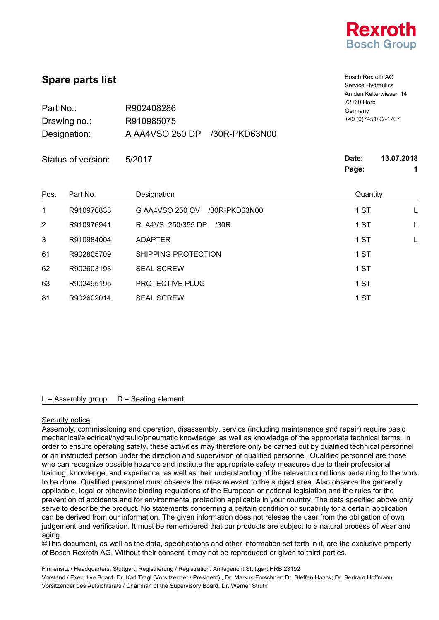

| <b>Spare parts list</b><br>Part No.:<br>R902408286<br>R910985075<br>Drawing no.:<br>A AA4VSO 250 DP<br>Designation:<br>/30R-PKD63N00 |            |                                  | Bosch Rexroth AG<br>Service Hydraulics<br>An den Kelterwiesen 14<br>72160 Horb<br>Germany<br>+49 (0) 7451/92-1207 |                 |
|--------------------------------------------------------------------------------------------------------------------------------------|------------|----------------------------------|-------------------------------------------------------------------------------------------------------------------|-----------------|
| Status of version:                                                                                                                   |            | 5/2017                           | Date:<br>Page:                                                                                                    | 13.07.2018<br>1 |
| Pos.                                                                                                                                 | Part No.   | Designation                      | Quantity                                                                                                          |                 |
| 1                                                                                                                                    | R910976833 | G AA4VSO 250 OV<br>/30R-PKD63N00 | 1 ST                                                                                                              | L               |
| 2                                                                                                                                    | R910976941 | R A4VS 250/355 DP<br>/30R        | 1 ST                                                                                                              | L               |
| 3                                                                                                                                    | R910984004 | <b>ADAPTER</b>                   | 1 ST                                                                                                              | L               |
| 61                                                                                                                                   | R902805709 | SHIPPING PROTECTION              | 1 ST                                                                                                              |                 |
| 62                                                                                                                                   | R902603193 | <b>SEAL SCREW</b>                | 1 ST                                                                                                              |                 |
| 63                                                                                                                                   | R902495195 | PROTECTIVE PLUG                  | 1 ST                                                                                                              |                 |
| 81                                                                                                                                   | R902602014 | <b>SEAL SCREW</b>                | 1 ST                                                                                                              |                 |

#### Security notice

Assembly, commissioning and operation, disassembly, service (including maintenance and repair) require basic mechanical/electrical/hydraulic/pneumatic knowledge, as well as knowledge of the appropriate technical terms. In order to ensure operating safety, these activities may therefore only be carried out by qualified technical personnel or an instructed person under the direction and supervision of qualified personnel. Qualified personnel are those who can recognize possible hazards and institute the appropriate safety measures due to their professional training, knowledge, and experience, as well as their understanding of the relevant conditions pertaining to the work to be done. Qualified personnel must observe the rules relevant to the subject area. Also observe the generally applicable, legal or otherwise binding regulations of the European or national legislation and the rules for the prevention of accidents and for environmental protection applicable in your country. The data specified above only serve to describe the product. No statements concerning a certain condition or suitability for a certain application can be derived from our information. The given information does not release the user from the obligation of own judgement and verification. It must be remembered that our products are subject to a natural process of wear and aging.

©This document, as well as the data, specifications and other information set forth in it, are the exclusive property of Bosch Rexroth AG. Without their consent it may not be reproduced or given to third parties.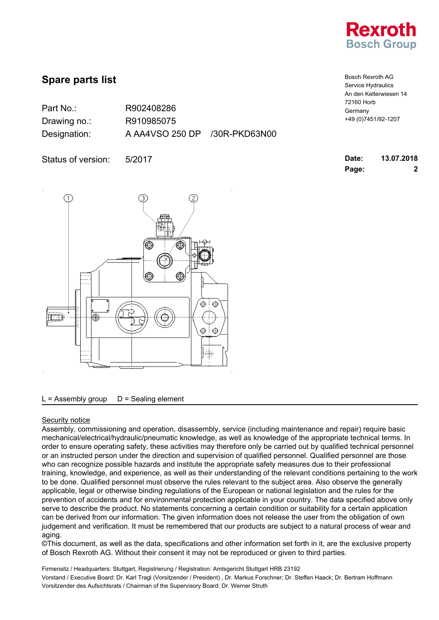

| Part No.:    | R902408286                    |  |
|--------------|-------------------------------|--|
| Drawing no.: | R910985075                    |  |
| Designation: | A AA4VSO 250 DP /30R-PKD63N00 |  |

Status of version: 5/2017



 $L =$  Assembly group  $D =$  Sealing element

### Security notice

Assembly, commissioning and operation, disassembly, service (including maintenance and repair) require basic mechanical/electrical/hydraulic/pneumatic knowledge, as well as knowledge of the appropriate technical terms. In order to ensure operating safety, these activities may therefore only be carried out by qualified technical personnel or an instructed person under the direction and supervision of qualified personnel. Qualified personnel are those who can recognize possible hazards and institute the appropriate safety measures due to their professional training, knowledge, and experience, as well as their understanding of the relevant conditions pertaining to the work to be done. Qualified personnel must observe the rules relevant to the subject area. Also observe the generally applicable, legal or otherwise binding regulations of the European or national legislation and the rules for the prevention of accidents and for environmental protection applicable in your country. The data specified above only serve to describe the product. No statements concerning a certain condition or suitability for a certain application can be derived from our information. The given information does not release the user from the obligation of own judgement and verification. It must be remembered that our products are subject to a natural process of wear and aging.

©This document, as well as the data, specifications and other information set forth in it, are the exclusive property of Bosch Rexroth AG. Without their consent it may not be reproduced or given to third parties.

| <b>Bosch Rexroth AG</b> |
|-------------------------|
| Service Hydraulics      |
| An den Kelterwiesen 14  |
| 72160 Horb              |
| Germany                 |
| +49 (0) 7451/92-1207    |

| Date: | 13.07.2018 |
|-------|------------|
| Page: | 2          |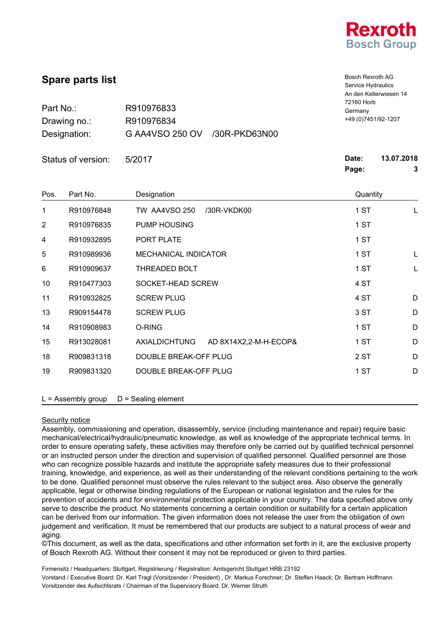

Bosch Rexroth AG

| <b>Οραι</b> σ μαι ιδι ιιδι<br>Part No.:<br>R910976833<br>R910976834<br>Drawing no.: |                    | Service Hydraulics<br>An den Kelterwiesen 14<br>72160 Horb<br>Germany<br>+49 (0) 7451/92-1207 |                |                 |  |
|-------------------------------------------------------------------------------------|--------------------|-----------------------------------------------------------------------------------------------|----------------|-----------------|--|
|                                                                                     | Designation:       | G AA4VSO 250 OV<br>/30R-PKD63N00                                                              |                |                 |  |
|                                                                                     | Status of version: | 5/2017                                                                                        | Date:<br>Page: | 13.07.2018<br>3 |  |
| Pos.                                                                                | Part No.           | Designation                                                                                   | Quantity       |                 |  |
| 1                                                                                   | R910976848         | <b>TW AA4VSO 250</b><br>/30R-VKDK00                                                           | 1 ST           | L               |  |
| 2                                                                                   | R910976835         | PUMP HOUSING                                                                                  | 1 ST           |                 |  |
| 4                                                                                   | R910932895         | PORT PLATE                                                                                    | 1 ST           |                 |  |
| 5                                                                                   | R910989936         | MECHANICAL INDICATOR                                                                          | 1 ST           | L               |  |
| 6                                                                                   | R910909637         | <b>THREADED BOLT</b>                                                                          | 1 ST           | L               |  |
| 10                                                                                  | R910477303         | SOCKET-HEAD SCREW                                                                             | 4 ST           |                 |  |
| 11                                                                                  | R910932825         | <b>SCREW PLUG</b>                                                                             | 4 ST           | D               |  |
| 13                                                                                  | R909154478         | <b>SCREW PLUG</b>                                                                             | 3 ST           | D               |  |
| 14                                                                                  | R910908983         | O-RING                                                                                        | 1 ST           | D               |  |
| 15                                                                                  | R913028081         | <b>AXIALDICHTUNG</b><br>AD 8X14X2,2-M-H-ECOP&                                                 | 1 ST           | D               |  |

 $L =$  Assembly group  $D =$  Sealing element

#### Security notice

**Spare parts list**

Assembly, commissioning and operation, disassembly, service (including maintenance and repair) require basic mechanical/electrical/hydraulic/pneumatic knowledge, as well as knowledge of the appropriate technical terms. In order to ensure operating safety, these activities may therefore only be carried out by qualified technical personnel or an instructed person under the direction and supervision of qualified personnel. Qualified personnel are those who can recognize possible hazards and institute the appropriate safety measures due to their professional training, knowledge, and experience, as well as their understanding of the relevant conditions pertaining to the work to be done. Qualified personnel must observe the rules relevant to the subject area. Also observe the generally applicable, legal or otherwise binding regulations of the European or national legislation and the rules for the prevention of accidents and for environmental protection applicable in your country. The data specified above only serve to describe the product. No statements concerning a certain condition or suitability for a certain application can be derived from our information. The given information does not release the user from the obligation of own judgement and verification. It must be remembered that our products are subject to a natural process of wear and aging.

18 R909831318 DOUBLE BREAK-OFF PLUG 2 ST D 19 R909831320 DOUBLE BREAK-OFF PLUG 1 ST 1 ST D

©This document, as well as the data, specifications and other information set forth in it, are the exclusive property of Bosch Rexroth AG. Without their consent it may not be reproduced or given to third parties.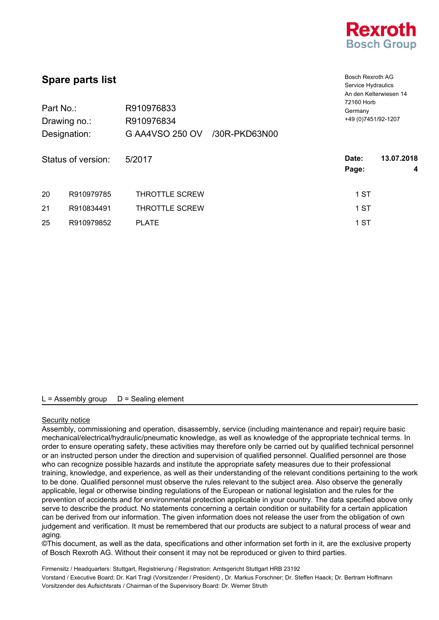

Bosch Rexroth AG Service Hydraulics

# **Spare parts list**

| Part No.:<br>Drawing no.:<br>Designation: |                    | R910976833<br>R910976834<br>G AA4VSO 250 OV<br>/30R-PKD63N00 | An den Kelterwiesen 14<br>72160 Horb<br>Germany<br>+49 (0) 7451/92-1207 |  |
|-------------------------------------------|--------------------|--------------------------------------------------------------|-------------------------------------------------------------------------|--|
|                                           | Status of version: | 5/2017                                                       | 13.07.2018<br>Date:<br>Page:<br>4                                       |  |
| 20                                        | R910979785         | <b>THROTTLE SCREW</b>                                        | 1 ST                                                                    |  |
| 21                                        | R910834491         | <b>THROTTLE SCREW</b>                                        | 1 ST                                                                    |  |
| 25                                        | R910979852         | <b>PLATE</b>                                                 | 1 ST                                                                    |  |

## $L =$  Assembly group  $D =$  Sealing element

### Security notice

Assembly, commissioning and operation, disassembly, service (including maintenance and repair) require basic mechanical/electrical/hydraulic/pneumatic knowledge, as well as knowledge of the appropriate technical terms. In order to ensure operating safety, these activities may therefore only be carried out by qualified technical personnel or an instructed person under the direction and supervision of qualified personnel. Qualified personnel are those who can recognize possible hazards and institute the appropriate safety measures due to their professional training, knowledge, and experience, as well as their understanding of the relevant conditions pertaining to the work to be done. Qualified personnel must observe the rules relevant to the subject area. Also observe the generally applicable, legal or otherwise binding regulations of the European or national legislation and the rules for the prevention of accidents and for environmental protection applicable in your country. The data specified above only serve to describe the product. No statements concerning a certain condition or suitability for a certain application can be derived from our information. The given information does not release the user from the obligation of own judgement and verification. It must be remembered that our products are subject to a natural process of wear and aging.

©This document, as well as the data, specifications and other information set forth in it, are the exclusive property of Bosch Rexroth AG. Without their consent it may not be reproduced or given to third parties.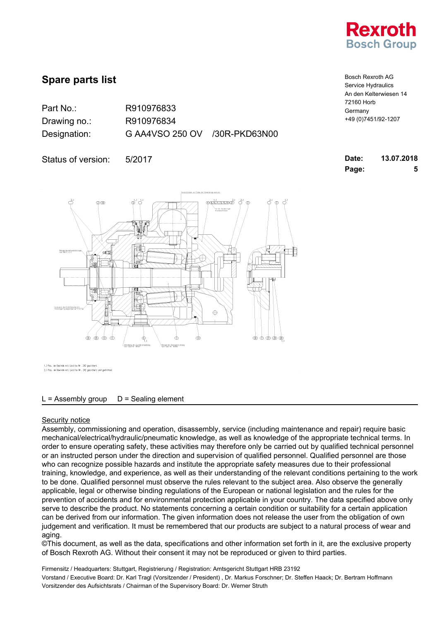

| Part No.:    | R910976833                    |  |
|--------------|-------------------------------|--|
| Drawing no.: | R910976834                    |  |
| Designation: | G AA4VSO 250 OV /30R-PKD63N00 |  |

Bosch Rexroth AG Service Hydraulics An den Kelterwiesen 14 72160 Horb Germany +49 (0)7451/92-1207

**Page: 5**

| Status of version: 5/2017 | Date: | 13.07.2018 |
|---------------------------|-------|------------|
|---------------------------|-------|------------|



)<br>Pos, am Gewinde mit Loctite Nr. 242 gesichert<br>) Pos, am Gewinde mit Loctite Nr. 242 gesichert und gedichte

#### $L =$  Assembly group  $D =$  Sealing element

#### Security notice

Assembly, commissioning and operation, disassembly, service (including maintenance and repair) require basic mechanical/electrical/hydraulic/pneumatic knowledge, as well as knowledge of the appropriate technical terms. In order to ensure operating safety, these activities may therefore only be carried out by qualified technical personnel or an instructed person under the direction and supervision of qualified personnel. Qualified personnel are those who can recognize possible hazards and institute the appropriate safety measures due to their professional training, knowledge, and experience, as well as their understanding of the relevant conditions pertaining to the work to be done. Qualified personnel must observe the rules relevant to the subject area. Also observe the generally applicable, legal or otherwise binding regulations of the European or national legislation and the rules for the prevention of accidents and for environmental protection applicable in your country. The data specified above only serve to describe the product. No statements concerning a certain condition or suitability for a certain application can be derived from our information. The given information does not release the user from the obligation of own judgement and verification. It must be remembered that our products are subject to a natural process of wear and aging.

©This document, as well as the data, specifications and other information set forth in it, are the exclusive property of Bosch Rexroth AG. Without their consent it may not be reproduced or given to third parties.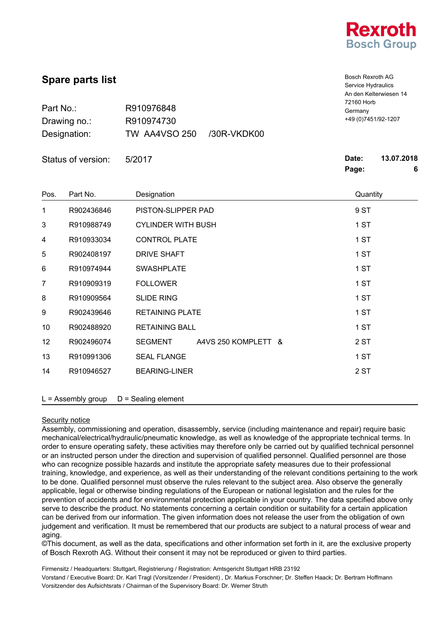

Bosch Rexroth AG

| <b>Spare parts list</b> |                      |                                     |                      | <b>Bosch Rexroth AG</b><br>Service Hydraulics<br>An den Kelterwiesen 14 |                 |  |
|-------------------------|----------------------|-------------------------------------|----------------------|-------------------------------------------------------------------------|-----------------|--|
| Part No.:<br>R910976848 |                      | 72160 Horb<br>Germany               |                      |                                                                         |                 |  |
|                         | Drawing no.:         | R910974730                          |                      | +49 (0) 7451/92-1207                                                    |                 |  |
|                         | Designation:         | <b>TW AA4VSO 250</b><br>/30R-VKDK00 |                      |                                                                         |                 |  |
| Status of version:      |                      | 5/2017                              |                      | Date:<br>Page:                                                          | 13.07.2018<br>6 |  |
| Pos.                    | Part No.             | Designation                         |                      | Quantity                                                                |                 |  |
| 1                       | R902436846           | PISTON-SLIPPER PAD                  |                      | 9 ST                                                                    |                 |  |
| 3                       | R910988749           | <b>CYLINDER WITH BUSH</b>           |                      | 1 ST                                                                    |                 |  |
| 4                       | R910933034           |                                     | <b>CONTROL PLATE</b> |                                                                         |                 |  |
| 5                       | R902408197           |                                     | <b>DRIVE SHAFT</b>   |                                                                         | 1 ST            |  |
| 6                       | R910974944           | <b>SWASHPLATE</b>                   |                      | 1 ST                                                                    |                 |  |
| 7                       | R910909319           | <b>FOLLOWER</b>                     |                      | 1 ST                                                                    |                 |  |
| 8                       | R910909564           | <b>SLIDE RING</b>                   |                      | 1 ST                                                                    |                 |  |
| 9                       | R902439646           | <b>RETAINING PLATE</b>              |                      | 1 ST                                                                    |                 |  |
| 10                      | R902488920           | <b>RETAINING BALL</b>               |                      | 1 ST                                                                    |                 |  |
| 12                      | R902496074           | <b>SEGMENT</b>                      | A4VS 250 KOMPLETT &  | 2 ST                                                                    |                 |  |
| 13                      | R910991306           | <b>SEAL FLANGE</b>                  |                      | 1 ST                                                                    |                 |  |
| 14                      | R910946527           | <b>BEARING-LINER</b>                |                      | 2 ST                                                                    |                 |  |
|                         | $L =$ Assembly group | $D =$ Sealing element               |                      |                                                                         |                 |  |

### Security notice

Assembly, commissioning and operation, disassembly, service (including maintenance and repair) require basic mechanical/electrical/hydraulic/pneumatic knowledge, as well as knowledge of the appropriate technical terms. In order to ensure operating safety, these activities may therefore only be carried out by qualified technical personnel or an instructed person under the direction and supervision of qualified personnel. Qualified personnel are those who can recognize possible hazards and institute the appropriate safety measures due to their professional training, knowledge, and experience, as well as their understanding of the relevant conditions pertaining to the work to be done. Qualified personnel must observe the rules relevant to the subject area. Also observe the generally applicable, legal or otherwise binding regulations of the European or national legislation and the rules for the prevention of accidents and for environmental protection applicable in your country. The data specified above only serve to describe the product. No statements concerning a certain condition or suitability for a certain application can be derived from our information. The given information does not release the user from the obligation of own judgement and verification. It must be remembered that our products are subject to a natural process of wear and aging.

©This document, as well as the data, specifications and other information set forth in it, are the exclusive property of Bosch Rexroth AG. Without their consent it may not be reproduced or given to third parties.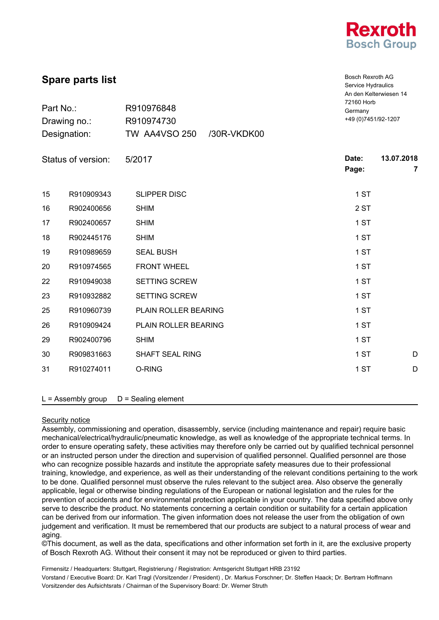

Bosch Rexroth AG Service Hydraulics An den Kelterwiesen 14

| Part No.:<br>Drawing no.:<br>Designation: |            | R910976848<br>R910974730<br>TW AA4VSO 250<br>/30R-VKDK00 | 72160 Horb<br>Germany<br>+49 (0) 7451/92-1207 |                 |  |
|-------------------------------------------|------------|----------------------------------------------------------|-----------------------------------------------|-----------------|--|
| Status of version:                        |            | 5/2017                                                   | Date:<br>Page:                                | 13.07.2018<br>7 |  |
| 15                                        | R910909343 | <b>SLIPPER DISC</b>                                      | 1 ST                                          |                 |  |
| 16                                        | R902400656 | <b>SHIM</b>                                              | 2 ST                                          |                 |  |
| 17                                        | R902400657 | <b>SHIM</b>                                              | 1 ST                                          |                 |  |
| 18                                        | R902445176 | <b>SHIM</b>                                              | 1 ST                                          |                 |  |
| 19                                        | R910989659 | <b>SEAL BUSH</b>                                         | 1 ST                                          |                 |  |
| 20                                        | R910974565 | <b>FRONT WHEEL</b>                                       | 1 ST                                          |                 |  |
| 22                                        | R910949038 | <b>SETTING SCREW</b>                                     | 1 ST                                          |                 |  |
| 23                                        | R910932882 | SETTING SCREW                                            | 1 ST                                          |                 |  |
| 25                                        | R910960739 | PLAIN ROLLER BEARING                                     | 1 ST                                          |                 |  |
| 26                                        | R910909424 | PLAIN ROLLER BEARING                                     | 1 ST                                          |                 |  |
| 29                                        | R902400796 | <b>SHIM</b>                                              | 1 ST                                          |                 |  |
| 30                                        | R909831663 | <b>SHAFT SEAL RING</b>                                   | 1 ST                                          | D               |  |
| 31                                        | R910274011 | O-RING                                                   | 1 ST                                          | D               |  |

 $L =$  Assembly group  $D =$  Sealing element

### Security notice

Assembly, commissioning and operation, disassembly, service (including maintenance and repair) require basic mechanical/electrical/hydraulic/pneumatic knowledge, as well as knowledge of the appropriate technical terms. In order to ensure operating safety, these activities may therefore only be carried out by qualified technical personnel or an instructed person under the direction and supervision of qualified personnel. Qualified personnel are those who can recognize possible hazards and institute the appropriate safety measures due to their professional training, knowledge, and experience, as well as their understanding of the relevant conditions pertaining to the work to be done. Qualified personnel must observe the rules relevant to the subject area. Also observe the generally applicable, legal or otherwise binding regulations of the European or national legislation and the rules for the prevention of accidents and for environmental protection applicable in your country. The data specified above only serve to describe the product. No statements concerning a certain condition or suitability for a certain application can be derived from our information. The given information does not release the user from the obligation of own judgement and verification. It must be remembered that our products are subject to a natural process of wear and aging.

©This document, as well as the data, specifications and other information set forth in it, are the exclusive property of Bosch Rexroth AG. Without their consent it may not be reproduced or given to third parties.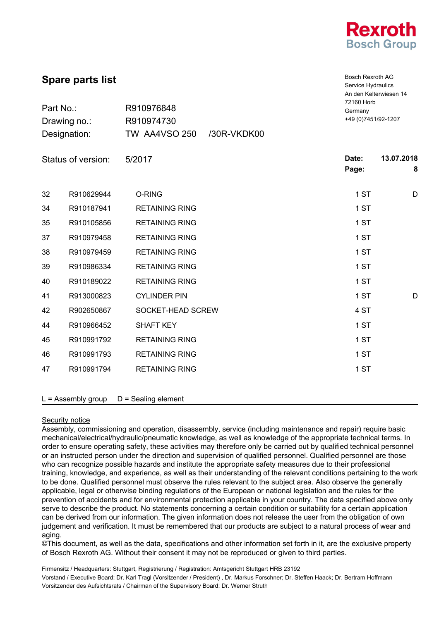

Bosch Rexroth AG Service Hydraulics An den Kelterwiesen 14

# **Spare parts list**

| Part No.:<br>Drawing no.: |            | R910976848<br>R910974730 |             | 72160 Horb<br>Germany<br>+49 (0) 7451/92-1207 |                 |
|---------------------------|------------|--------------------------|-------------|-----------------------------------------------|-----------------|
| Designation:              |            | <b>TW AA4VSO 250</b>     | /30R-VKDK00 |                                               |                 |
| Status of version:        |            | 5/2017                   |             | Date:<br>Page:                                | 13.07.2018<br>8 |
| 32                        | R910629944 | O-RING                   |             | 1 ST                                          | D               |
| 34                        | R910187941 | <b>RETAINING RING</b>    |             | 1 ST                                          |                 |
| 35                        | R910105856 | <b>RETAINING RING</b>    |             | 1 ST                                          |                 |
| 37                        | R910979458 | <b>RETAINING RING</b>    |             | 1 ST                                          |                 |
| 38                        | R910979459 | <b>RETAINING RING</b>    |             | 1 ST                                          |                 |
| 39                        | R910986334 | <b>RETAINING RING</b>    |             | 1 ST                                          |                 |
| 40                        | R910189022 | <b>RETAINING RING</b>    |             | 1 ST                                          |                 |
| 41                        | R913000823 | <b>CYLINDER PIN</b>      |             | 1 ST                                          | D               |
| 42                        | R902650867 | SOCKET-HEAD SCREW        |             | 4 ST                                          |                 |
| 44                        | R910966452 | <b>SHAFT KEY</b>         |             | 1 ST                                          |                 |
| 45                        | R910991792 | <b>RETAINING RING</b>    |             | 1 ST                                          |                 |
| 46                        | R910991793 | <b>RETAINING RING</b>    |             | 1 ST                                          |                 |
| 47                        | R910991794 | <b>RETAINING RING</b>    |             | 1 ST                                          |                 |

 $L =$  Assembly group  $D =$  Sealing element

## Security notice

Assembly, commissioning and operation, disassembly, service (including maintenance and repair) require basic mechanical/electrical/hydraulic/pneumatic knowledge, as well as knowledge of the appropriate technical terms. In order to ensure operating safety, these activities may therefore only be carried out by qualified technical personnel or an instructed person under the direction and supervision of qualified personnel. Qualified personnel are those who can recognize possible hazards and institute the appropriate safety measures due to their professional training, knowledge, and experience, as well as their understanding of the relevant conditions pertaining to the work to be done. Qualified personnel must observe the rules relevant to the subject area. Also observe the generally applicable, legal or otherwise binding regulations of the European or national legislation and the rules for the prevention of accidents and for environmental protection applicable in your country. The data specified above only serve to describe the product. No statements concerning a certain condition or suitability for a certain application can be derived from our information. The given information does not release the user from the obligation of own judgement and verification. It must be remembered that our products are subject to a natural process of wear and aging.

©This document, as well as the data, specifications and other information set forth in it, are the exclusive property of Bosch Rexroth AG. Without their consent it may not be reproduced or given to third parties.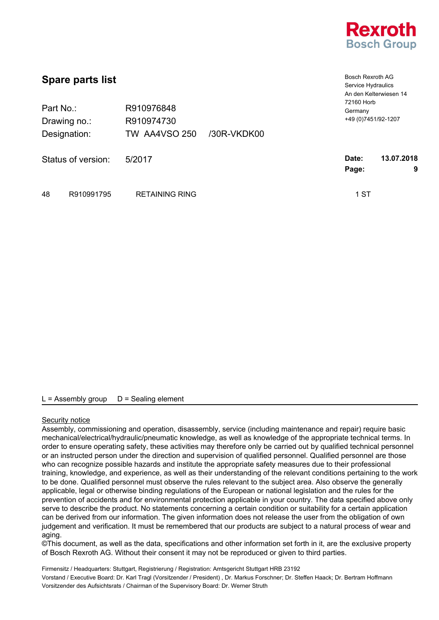

| <b>Spare parts list</b> |            |                       |             | <b>Bosch Rexroth AG</b><br>Service Hydraulics<br>An den Kelterwiesen 14<br>72160 Horb |            |
|-------------------------|------------|-----------------------|-------------|---------------------------------------------------------------------------------------|------------|
| Part No.:               |            | R910976848            |             | Germany                                                                               |            |
| Drawing no.:            |            | R910974730            |             | +49 (0) 7451/92-1207                                                                  |            |
| Designation:            |            | <b>TW AA4VSO 250</b>  | /30R-VKDK00 |                                                                                       |            |
| Status of version:      |            | 5/2017                |             | Date:                                                                                 | 13.07.2018 |
|                         |            |                       |             | Page:                                                                                 | 9          |
| 48                      | R910991795 | <b>RETAINING RING</b> |             | 1 ST                                                                                  |            |

## Security notice

Assembly, commissioning and operation, disassembly, service (including maintenance and repair) require basic mechanical/electrical/hydraulic/pneumatic knowledge, as well as knowledge of the appropriate technical terms. In order to ensure operating safety, these activities may therefore only be carried out by qualified technical personnel or an instructed person under the direction and supervision of qualified personnel. Qualified personnel are those who can recognize possible hazards and institute the appropriate safety measures due to their professional training, knowledge, and experience, as well as their understanding of the relevant conditions pertaining to the work to be done. Qualified personnel must observe the rules relevant to the subject area. Also observe the generally applicable, legal or otherwise binding regulations of the European or national legislation and the rules for the prevention of accidents and for environmental protection applicable in your country. The data specified above only serve to describe the product. No statements concerning a certain condition or suitability for a certain application can be derived from our information. The given information does not release the user from the obligation of own judgement and verification. It must be remembered that our products are subject to a natural process of wear and aging.

©This document, as well as the data, specifications and other information set forth in it, are the exclusive property of Bosch Rexroth AG. Without their consent it may not be reproduced or given to third parties.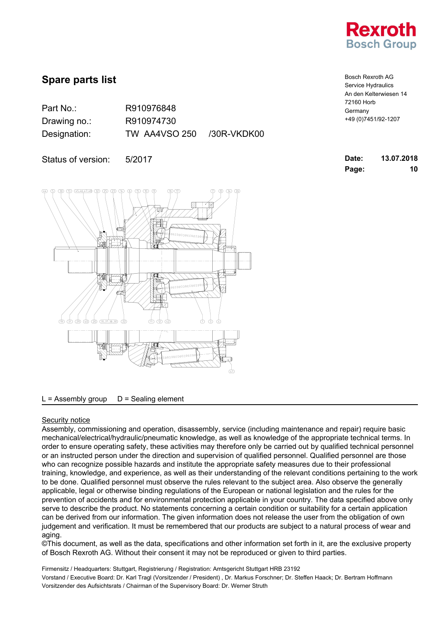

Part No.: R910976848

Drawing no.: R910974730 Designation: TW AA4VSO 250 /30R-VKDK00

Status of version: 5/2017



 $L =$  Assembly group  $D =$  Sealing element

## Security notice

Assembly, commissioning and operation, disassembly, service (including maintenance and repair) require basic mechanical/electrical/hydraulic/pneumatic knowledge, as well as knowledge of the appropriate technical terms. In order to ensure operating safety, these activities may therefore only be carried out by qualified technical personnel or an instructed person under the direction and supervision of qualified personnel. Qualified personnel are those who can recognize possible hazards and institute the appropriate safety measures due to their professional training, knowledge, and experience, as well as their understanding of the relevant conditions pertaining to the work to be done. Qualified personnel must observe the rules relevant to the subject area. Also observe the generally applicable, legal or otherwise binding regulations of the European or national legislation and the rules for the prevention of accidents and for environmental protection applicable in your country. The data specified above only serve to describe the product. No statements concerning a certain condition or suitability for a certain application can be derived from our information. The given information does not release the user from the obligation of own judgement and verification. It must be remembered that our products are subject to a natural process of wear and aging.

©This document, as well as the data, specifications and other information set forth in it, are the exclusive property of Bosch Rexroth AG. Without their consent it may not be reproduced or given to third parties.

| <b>Bosch Rexroth AG</b> |
|-------------------------|
| Service Hydraulics      |
| An den Kelterwiesen 14  |
| 72160 Horb              |
| Germany                 |
| +49 (0) 7451/92-1207    |

| Date: | 13.07.2018 |
|-------|------------|
| Page: | 10         |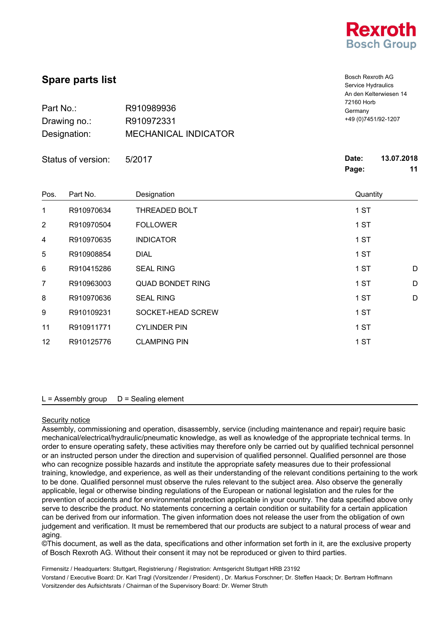

Bosch Rexroth AG Service Hydraulics

|              |                             | 5011100111001          |
|--------------|-----------------------------|------------------------|
|              |                             | An den Kelterwiesen 14 |
|              |                             | 72160 Horb             |
| Part No.:    | R910989936                  | Germany                |
| Drawing no.: | R910972331                  | +49 (0) 7451/92-1207   |
| Designation: | <b>MECHANICAL INDICATOR</b> |                        |

|                 | Status of version: | 5/2017                  | Date:<br>13.07.2018<br>Page:<br>11 |
|-----------------|--------------------|-------------------------|------------------------------------|
| Pos.            | Part No.           | Designation             | Quantity                           |
| 1               | R910970634         | THREADED BOLT           | 1 ST                               |
| $\overline{2}$  | R910970504         | <b>FOLLOWER</b>         | 1 ST                               |
| 4               | R910970635         | <b>INDICATOR</b>        | 1 ST                               |
| 5               | R910908854         | <b>DIAL</b>             | 1 ST                               |
| $6\phantom{1}$  | R910415286         | <b>SEAL RING</b>        | 1 ST<br>D                          |
| $\overline{7}$  | R910963003         | <b>QUAD BONDET RING</b> | 1 ST<br>D                          |
| 8               | R910970636         | <b>SEAL RING</b>        | 1 ST<br>D                          |
| 9               | R910109231         | SOCKET-HEAD SCREW       | 1 ST                               |
| 11              | R910911771         | <b>CYLINDER PIN</b>     | 1 ST                               |
| 12 <sub>2</sub> | R910125776         | <b>CLAMPING PIN</b>     | 1 ST                               |

### $L =$  Assembly group  $D =$  Sealing element

#### Security notice

Assembly, commissioning and operation, disassembly, service (including maintenance and repair) require basic mechanical/electrical/hydraulic/pneumatic knowledge, as well as knowledge of the appropriate technical terms. In order to ensure operating safety, these activities may therefore only be carried out by qualified technical personnel or an instructed person under the direction and supervision of qualified personnel. Qualified personnel are those who can recognize possible hazards and institute the appropriate safety measures due to their professional training, knowledge, and experience, as well as their understanding of the relevant conditions pertaining to the work to be done. Qualified personnel must observe the rules relevant to the subject area. Also observe the generally applicable, legal or otherwise binding regulations of the European or national legislation and the rules for the prevention of accidents and for environmental protection applicable in your country. The data specified above only serve to describe the product. No statements concerning a certain condition or suitability for a certain application can be derived from our information. The given information does not release the user from the obligation of own judgement and verification. It must be remembered that our products are subject to a natural process of wear and aging.

©This document, as well as the data, specifications and other information set forth in it, are the exclusive property of Bosch Rexroth AG. Without their consent it may not be reproduced or given to third parties.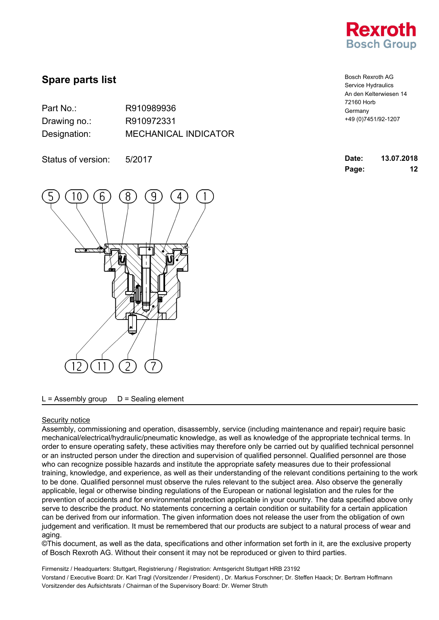

| Part No.:    | R910989936                  |
|--------------|-----------------------------|
| Drawing no.: | R910972331                  |
| Designation: | <b>MECHANICAL INDICATOR</b> |

Status of version: 5/2017



### $L =$  Assembly group  $D =$  Sealing element

#### Security notice

Assembly, commissioning and operation, disassembly, service (including maintenance and repair) require basic mechanical/electrical/hydraulic/pneumatic knowledge, as well as knowledge of the appropriate technical terms. In order to ensure operating safety, these activities may therefore only be carried out by qualified technical personnel or an instructed person under the direction and supervision of qualified personnel. Qualified personnel are those who can recognize possible hazards and institute the appropriate safety measures due to their professional training, knowledge, and experience, as well as their understanding of the relevant conditions pertaining to the work to be done. Qualified personnel must observe the rules relevant to the subject area. Also observe the generally applicable, legal or otherwise binding regulations of the European or national legislation and the rules for the prevention of accidents and for environmental protection applicable in your country. The data specified above only serve to describe the product. No statements concerning a certain condition or suitability for a certain application can be derived from our information. The given information does not release the user from the obligation of own judgement and verification. It must be remembered that our products are subject to a natural process of wear and aging.

©This document, as well as the data, specifications and other information set forth in it, are the exclusive property of Bosch Rexroth AG. Without their consent it may not be reproduced or given to third parties.

| <b>Bosch Rexroth AG</b> |
|-------------------------|
| Service Hydraulics      |
| An den Kelterwiesen 14  |
| 72160 Horb              |
| Germany                 |
| +49 (0) 7451/92-1207    |

| Date: | 13.07.2018 |
|-------|------------|
| Page: | 12         |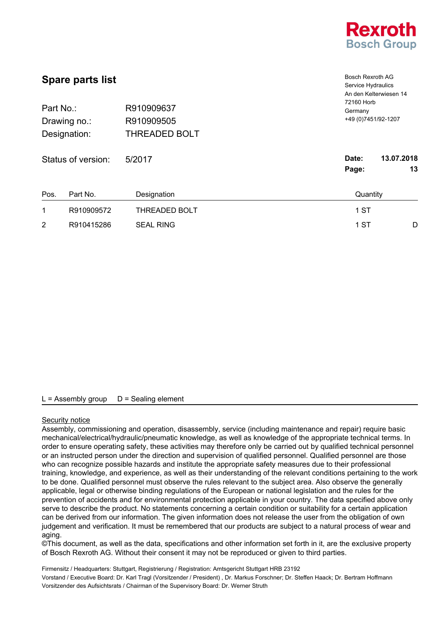

| <b>Spare parts list</b><br>R910909637<br>Part No.: |                    |                                    | <b>Bosch Rexroth AG</b><br>Service Hydraulics<br>An den Kelterwiesen 14<br>72160 Horb |                  |
|----------------------------------------------------|--------------------|------------------------------------|---------------------------------------------------------------------------------------|------------------|
| Drawing no.:<br>Designation:                       |                    | R910909505<br><b>THREADED BOLT</b> | Germany<br>+49 (0) 7451/92-1207                                                       |                  |
|                                                    |                    |                                    |                                                                                       |                  |
|                                                    | Status of version: | 5/2017                             | Date:<br>Page:                                                                        | 13.07.2018<br>13 |
| Pos.                                               | Part No.           | Designation                        | Quantity                                                                              |                  |
| 1                                                  | R910909572         | <b>THREADED BOLT</b>               | 1 ST                                                                                  |                  |
| $\overline{2}$                                     | R910415286         | <b>SEAL RING</b>                   | 1 ST                                                                                  | D                |

#### Security notice

Assembly, commissioning and operation, disassembly, service (including maintenance and repair) require basic mechanical/electrical/hydraulic/pneumatic knowledge, as well as knowledge of the appropriate technical terms. In order to ensure operating safety, these activities may therefore only be carried out by qualified technical personnel or an instructed person under the direction and supervision of qualified personnel. Qualified personnel are those who can recognize possible hazards and institute the appropriate safety measures due to their professional training, knowledge, and experience, as well as their understanding of the relevant conditions pertaining to the work to be done. Qualified personnel must observe the rules relevant to the subject area. Also observe the generally applicable, legal or otherwise binding regulations of the European or national legislation and the rules for the prevention of accidents and for environmental protection applicable in your country. The data specified above only serve to describe the product. No statements concerning a certain condition or suitability for a certain application can be derived from our information. The given information does not release the user from the obligation of own judgement and verification. It must be remembered that our products are subject to a natural process of wear and aging.

©This document, as well as the data, specifications and other information set forth in it, are the exclusive property of Bosch Rexroth AG. Without their consent it may not be reproduced or given to third parties.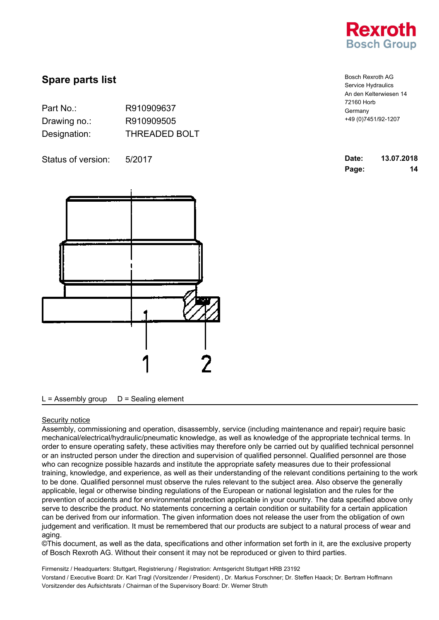

| Part No.:    | R910909637           |
|--------------|----------------------|
| Drawing no.: | R910909505           |
| Designation: | <b>THREADED BOLT</b> |

Status of version: 5/2017



 $L =$  Assembly group  $D =$  Sealing element

### Security notice

Assembly, commissioning and operation, disassembly, service (including maintenance and repair) require basic mechanical/electrical/hydraulic/pneumatic knowledge, as well as knowledge of the appropriate technical terms. In order to ensure operating safety, these activities may therefore only be carried out by qualified technical personnel or an instructed person under the direction and supervision of qualified personnel. Qualified personnel are those who can recognize possible hazards and institute the appropriate safety measures due to their professional training, knowledge, and experience, as well as their understanding of the relevant conditions pertaining to the work to be done. Qualified personnel must observe the rules relevant to the subject area. Also observe the generally applicable, legal or otherwise binding regulations of the European or national legislation and the rules for the prevention of accidents and for environmental protection applicable in your country. The data specified above only serve to describe the product. No statements concerning a certain condition or suitability for a certain application can be derived from our information. The given information does not release the user from the obligation of own judgement and verification. It must be remembered that our products are subject to a natural process of wear and aging.

©This document, as well as the data, specifications and other information set forth in it, are the exclusive property of Bosch Rexroth AG. Without their consent it may not be reproduced or given to third parties.

Firmensitz / Headquarters: Stuttgart, Registrierung / Registration: Amtsgericht Stuttgart HRB 23192 Vorstand / Executive Board: Dr. Karl Tragl (Vorsitzender / President) , Dr. Markus Forschner; Dr. Steffen Haack; Dr. Bertram Hoffmann Vorsitzender des Aufsichtsrats / Chairman of the Supervisory Board: Dr. Werner Struth

Bosch Rexroth AG Service Hydraulics An den Kelterwiesen 14 72160 Horb Germany +49 (0)7451/92-1207

| Date: | 13.07.2018 |
|-------|------------|
| Page: | 14         |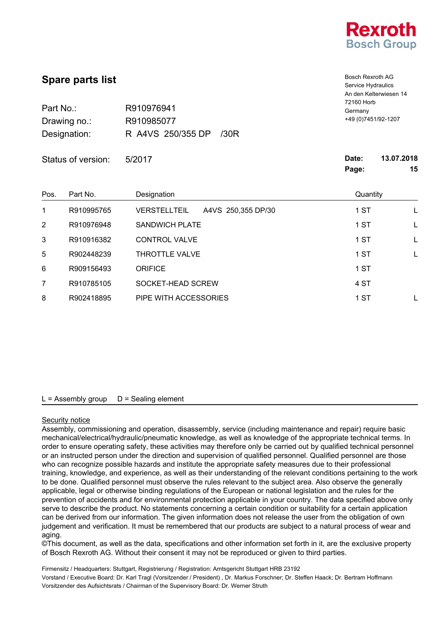

|                                           | <b>Spare parts list</b> | <b>Bosch Rexroth AG</b><br>Service Hydraulics<br>An den Kelterwiesen 14<br>72160 Horb<br>Germany<br>+49 (0) 7451/92-1207 |                |                                                       |
|-------------------------------------------|-------------------------|--------------------------------------------------------------------------------------------------------------------------|----------------|-------------------------------------------------------|
| Part No.:<br>Drawing no.:<br>Designation: |                         |                                                                                                                          |                | R910976941<br>R910985077<br>R A4VS 250/355 DP<br>/30R |
|                                           | Status of version:      | 5/2017                                                                                                                   | Date:<br>Page: | 13.07.2018<br>15                                      |
| Pos.                                      | Part No.                | Designation                                                                                                              | Quantity       |                                                       |
| 1                                         | R910995765              | <b>VERSTELLTEIL</b><br>A4VS 250,355 DP/30                                                                                | 1 ST           |                                                       |
| $\overline{2}$                            | R910976948              | <b>SANDWICH PLATE</b>                                                                                                    | 1 ST           |                                                       |
| 3                                         | R910916382              | <b>CONTROL VALVE</b>                                                                                                     | 1 ST           | L                                                     |
| 5                                         | R902448239              | THROTTLE VALVE                                                                                                           | 1 ST           | L                                                     |
| 6                                         | R909156493              | <b>ORIFICE</b>                                                                                                           | 1 ST           |                                                       |
| 7                                         | R910785105              | SOCKET-HEAD SCREW                                                                                                        | 4 ST           |                                                       |
| 8                                         | R902418895              | PIPE WITH ACCESSORIES                                                                                                    | 1 ST           |                                                       |

## Security notice

Assembly, commissioning and operation, disassembly, service (including maintenance and repair) require basic mechanical/electrical/hydraulic/pneumatic knowledge, as well as knowledge of the appropriate technical terms. In order to ensure operating safety, these activities may therefore only be carried out by qualified technical personnel or an instructed person under the direction and supervision of qualified personnel. Qualified personnel are those who can recognize possible hazards and institute the appropriate safety measures due to their professional training, knowledge, and experience, as well as their understanding of the relevant conditions pertaining to the work to be done. Qualified personnel must observe the rules relevant to the subject area. Also observe the generally applicable, legal or otherwise binding regulations of the European or national legislation and the rules for the prevention of accidents and for environmental protection applicable in your country. The data specified above only serve to describe the product. No statements concerning a certain condition or suitability for a certain application can be derived from our information. The given information does not release the user from the obligation of own judgement and verification. It must be remembered that our products are subject to a natural process of wear and aging.

©This document, as well as the data, specifications and other information set forth in it, are the exclusive property of Bosch Rexroth AG. Without their consent it may not be reproduced or given to third parties.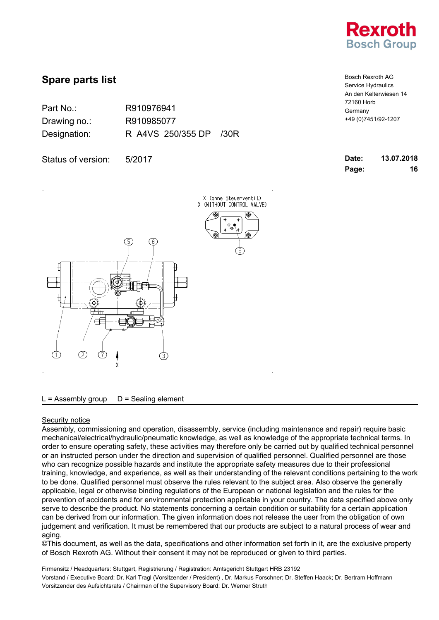

Bosch Rexroth AG Service Hydraulics An den Kelterwiesen 14

+49 (0)7451/92-1207

72160 Horb Germany

# **Spare parts list**

| Part No.:    | R910976941        |      |
|--------------|-------------------|------|
| Drawing no.: | R910985077        |      |
| Designation: | R A4VS 250/355 DP | 730R |

Status of version: 5/2017

| Date: | 13.07.2018 |
|-------|------------|
| Page: | 16         |



 $L =$  Assembly group  $D =$  Sealing element

#### Security notice

Assembly, commissioning and operation, disassembly, service (including maintenance and repair) require basic mechanical/electrical/hydraulic/pneumatic knowledge, as well as knowledge of the appropriate technical terms. In order to ensure operating safety, these activities may therefore only be carried out by qualified technical personnel or an instructed person under the direction and supervision of qualified personnel. Qualified personnel are those who can recognize possible hazards and institute the appropriate safety measures due to their professional training, knowledge, and experience, as well as their understanding of the relevant conditions pertaining to the work to be done. Qualified personnel must observe the rules relevant to the subject area. Also observe the generally applicable, legal or otherwise binding regulations of the European or national legislation and the rules for the prevention of accidents and for environmental protection applicable in your country. The data specified above only serve to describe the product. No statements concerning a certain condition or suitability for a certain application can be derived from our information. The given information does not release the user from the obligation of own judgement and verification. It must be remembered that our products are subject to a natural process of wear and aging.

©This document, as well as the data, specifications and other information set forth in it, are the exclusive property of Bosch Rexroth AG. Without their consent it may not be reproduced or given to third parties.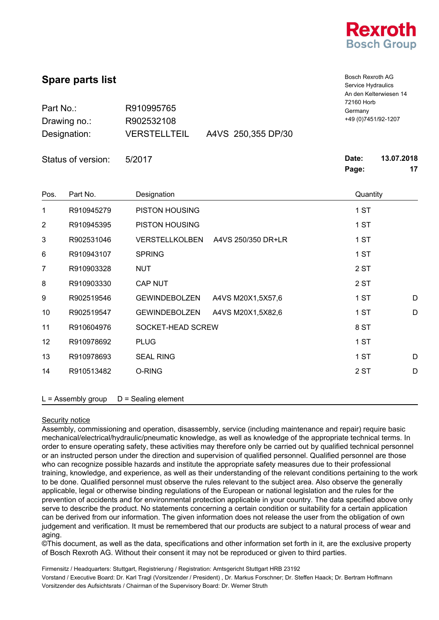

| <b>Spare parts list</b><br>Part No.:<br>R910995765 |                      |                       | <b>Bosch Rexroth AG</b><br>Service Hydraulics<br>An den Kelterwiesen 14<br>72160 Horb<br>Germany |                |                  |
|----------------------------------------------------|----------------------|-----------------------|--------------------------------------------------------------------------------------------------|----------------|------------------|
|                                                    |                      |                       |                                                                                                  |                |                  |
|                                                    | Designation:         | <b>VERSTELLTEIL</b>   | A4VS 250,355 DP/30                                                                               |                |                  |
|                                                    | Status of version:   | 5/2017                |                                                                                                  | Date:<br>Page: | 13.07.2018<br>17 |
| Pos.                                               | Part No.             | Designation           |                                                                                                  | Quantity       |                  |
| 1                                                  | R910945279           | PISTON HOUSING        |                                                                                                  | 1 ST           |                  |
| 2                                                  | R910945395           | PISTON HOUSING        |                                                                                                  | 1 ST           |                  |
| 3                                                  | R902531046           | <b>VERSTELLKOLBEN</b> | A4VS 250/350 DR+LR                                                                               | 1 ST           |                  |
| 6                                                  | R910943107           | <b>SPRING</b>         |                                                                                                  | 1 ST           |                  |
| 7                                                  | R910903328           | <b>NUT</b>            |                                                                                                  | 2 ST           |                  |
| 8                                                  | R910903330           | <b>CAP NUT</b>        |                                                                                                  | 2 ST           |                  |
| 9                                                  | R902519546           | <b>GEWINDEBOLZEN</b>  | A4VS M20X1,5X57,6                                                                                | 1 ST           | D                |
| 10                                                 | R902519547           | <b>GEWINDEBOLZEN</b>  | A4VS M20X1,5X82,6                                                                                | 1 ST           | D                |
| 11                                                 | R910604976           | SOCKET-HEAD SCREW     |                                                                                                  | 8 ST           |                  |
| 12                                                 | R910978692           | <b>PLUG</b>           |                                                                                                  | 1 ST           |                  |
| 13                                                 | R910978693           | <b>SEAL RING</b>      |                                                                                                  | 1 ST           | D                |
| 14                                                 | R910513482           | O-RING                |                                                                                                  | 2 ST           | D                |
|                                                    | $L =$ Assembly group | $D =$ Sealing element |                                                                                                  |                |                  |

### Security notice

Assembly, commissioning and operation, disassembly, service (including maintenance and repair) require basic mechanical/electrical/hydraulic/pneumatic knowledge, as well as knowledge of the appropriate technical terms. In order to ensure operating safety, these activities may therefore only be carried out by qualified technical personnel or an instructed person under the direction and supervision of qualified personnel. Qualified personnel are those who can recognize possible hazards and institute the appropriate safety measures due to their professional training, knowledge, and experience, as well as their understanding of the relevant conditions pertaining to the work to be done. Qualified personnel must observe the rules relevant to the subject area. Also observe the generally applicable, legal or otherwise binding regulations of the European or national legislation and the rules for the prevention of accidents and for environmental protection applicable in your country. The data specified above only serve to describe the product. No statements concerning a certain condition or suitability for a certain application can be derived from our information. The given information does not release the user from the obligation of own judgement and verification. It must be remembered that our products are subject to a natural process of wear and aging.

©This document, as well as the data, specifications and other information set forth in it, are the exclusive property of Bosch Rexroth AG. Without their consent it may not be reproduced or given to third parties.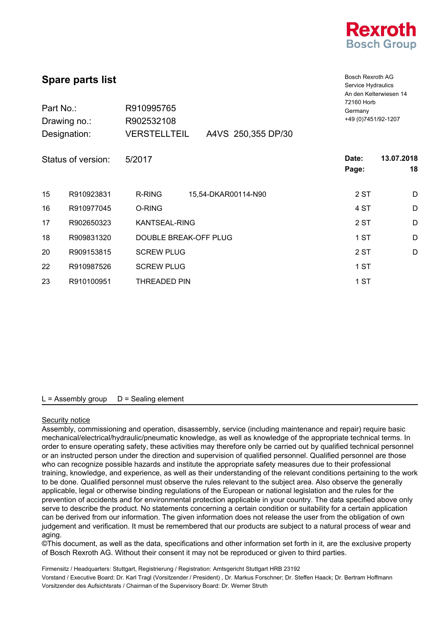

| <b>Spare parts list</b><br>Part No.:<br>R910995765<br>R902532108<br>Drawing no.: |                    |                       | Bosch Rexroth AG<br>Service Hydraulics<br>An den Kelterwiesen 14<br>72160 Horb<br>Germany<br>+49 (0) 7451/92-1207 |                |                  |
|----------------------------------------------------------------------------------|--------------------|-----------------------|-------------------------------------------------------------------------------------------------------------------|----------------|------------------|
|                                                                                  | Designation:       | <b>VERSTELLTEIL</b>   | A4VS 250,355 DP/30                                                                                                |                |                  |
|                                                                                  | Status of version: | 5/2017                |                                                                                                                   | Date:<br>Page: | 13.07.2018<br>18 |
| 15                                                                               | R910923831         | <b>R-RING</b>         | 15,54-DKAR00114-N90                                                                                               | 2 ST           | D                |
| 16                                                                               | R910977045         | O-RING                |                                                                                                                   | 4 ST           | D                |
| 17                                                                               | R902650323         | <b>KANTSEAL-RING</b>  |                                                                                                                   | 2 ST           | D                |
| 18                                                                               | R909831320         | DOUBLE BREAK-OFF PLUG |                                                                                                                   | 1 ST           | D                |
| 20                                                                               | R909153815         | <b>SCREW PLUG</b>     |                                                                                                                   | 2 ST           | D                |
| 22                                                                               | R910987526         | <b>SCREW PLUG</b>     |                                                                                                                   | 1 ST           |                  |
| 23                                                                               | R910100951         | <b>THREADED PIN</b>   |                                                                                                                   | 1 ST           |                  |
|                                                                                  |                    |                       |                                                                                                                   |                |                  |

#### Security notice

Assembly, commissioning and operation, disassembly, service (including maintenance and repair) require basic mechanical/electrical/hydraulic/pneumatic knowledge, as well as knowledge of the appropriate technical terms. In order to ensure operating safety, these activities may therefore only be carried out by qualified technical personnel or an instructed person under the direction and supervision of qualified personnel. Qualified personnel are those who can recognize possible hazards and institute the appropriate safety measures due to their professional training, knowledge, and experience, as well as their understanding of the relevant conditions pertaining to the work to be done. Qualified personnel must observe the rules relevant to the subject area. Also observe the generally applicable, legal or otherwise binding regulations of the European or national legislation and the rules for the prevention of accidents and for environmental protection applicable in your country. The data specified above only serve to describe the product. No statements concerning a certain condition or suitability for a certain application can be derived from our information. The given information does not release the user from the obligation of own judgement and verification. It must be remembered that our products are subject to a natural process of wear and aging.

©This document, as well as the data, specifications and other information set forth in it, are the exclusive property of Bosch Rexroth AG. Without their consent it may not be reproduced or given to third parties.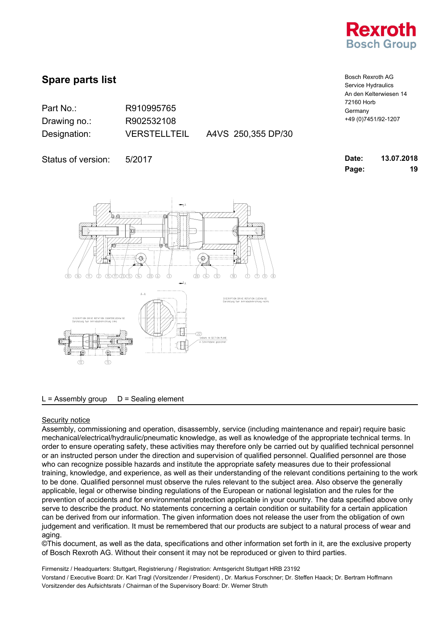

| Part No.:    | R910995765       |
|--------------|------------------|
| Drawing no.: | R902532108       |
| Designation: | <b>VERSTELLT</b> |

ELLTEIL A4VS 250,355 DP/30

Status of version: 5/2017



 $L =$  Assembly group  $D =$  Sealing element

### Security notice

Assembly, commissioning and operation, disassembly, service (including maintenance and repair) require basic mechanical/electrical/hydraulic/pneumatic knowledge, as well as knowledge of the appropriate technical terms. In order to ensure operating safety, these activities may therefore only be carried out by qualified technical personnel or an instructed person under the direction and supervision of qualified personnel. Qualified personnel are those who can recognize possible hazards and institute the appropriate safety measures due to their professional training, knowledge, and experience, as well as their understanding of the relevant conditions pertaining to the work to be done. Qualified personnel must observe the rules relevant to the subject area. Also observe the generally applicable, legal or otherwise binding regulations of the European or national legislation and the rules for the prevention of accidents and for environmental protection applicable in your country. The data specified above only serve to describe the product. No statements concerning a certain condition or suitability for a certain application can be derived from our information. The given information does not release the user from the obligation of own judgement and verification. It must be remembered that our products are subject to a natural process of wear and aging.

©This document, as well as the data, specifications and other information set forth in it, are the exclusive property of Bosch Rexroth AG. Without their consent it may not be reproduced or given to third parties.

Firmensitz / Headquarters: Stuttgart, Registrierung / Registration: Amtsgericht Stuttgart HRB 23192 Vorstand / Executive Board: Dr. Karl Tragl (Vorsitzender / President) , Dr. Markus Forschner; Dr. Steffen Haack; Dr. Bertram Hoffmann Vorsitzender des Aufsichtsrats / Chairman of the Supervisory Board: Dr. Werner Struth

Bosch Rexroth AG Service Hydraulics An den Kelterwiesen 14 72160 Horb Germany +49 (0)7451/92-1207

| Date: | 13.07.2018 |
|-------|------------|
| Page: | 19         |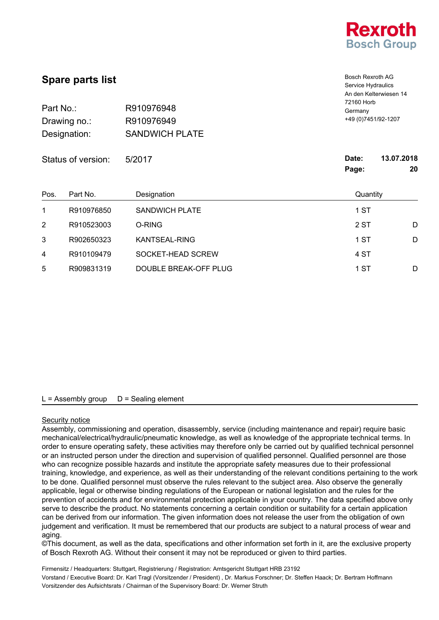

Bosch Rexroth AG Service Hydraulics

| Part No.:<br>Drawing no.:<br>Designation: | R910976948<br>R910976949<br><b>SANDWICH PLATE</b> | Germany               | An den Kelterwiesen 14<br>72160 Horb<br>+49 (0) 7451/92-1207 |  |
|-------------------------------------------|---------------------------------------------------|-----------------------|--------------------------------------------------------------|--|
| Status of version:                        | 5/2017                                            | Date:<br>Page:        | 13.07.2018<br>20                                             |  |
| Part No.                                  | Designation                                       | Quantity              |                                                              |  |
| R910976850                                | <b>SANDWICH PLATE</b>                             | 1 ST                  |                                                              |  |
| R910523003                                | O-RING                                            | 2 ST                  | D                                                            |  |
| R902650323                                | KANTSEAL-RING                                     | 1 ST                  | D                                                            |  |
| R910109479                                | SOCKET-HEAD SCREW                                 | 4 ST                  |                                                              |  |
| R909831319                                |                                                   | 1 ST                  | D                                                            |  |
|                                           |                                                   | DOUBLE BREAK-OFF PLUG |                                                              |  |

## $L =$  Assembly group  $D =$  Sealing element

#### Security notice

Assembly, commissioning and operation, disassembly, service (including maintenance and repair) require basic mechanical/electrical/hydraulic/pneumatic knowledge, as well as knowledge of the appropriate technical terms. In order to ensure operating safety, these activities may therefore only be carried out by qualified technical personnel or an instructed person under the direction and supervision of qualified personnel. Qualified personnel are those who can recognize possible hazards and institute the appropriate safety measures due to their professional training, knowledge, and experience, as well as their understanding of the relevant conditions pertaining to the work to be done. Qualified personnel must observe the rules relevant to the subject area. Also observe the generally applicable, legal or otherwise binding regulations of the European or national legislation and the rules for the prevention of accidents and for environmental protection applicable in your country. The data specified above only serve to describe the product. No statements concerning a certain condition or suitability for a certain application can be derived from our information. The given information does not release the user from the obligation of own judgement and verification. It must be remembered that our products are subject to a natural process of wear and aging.

©This document, as well as the data, specifications and other information set forth in it, are the exclusive property of Bosch Rexroth AG. Without their consent it may not be reproduced or given to third parties.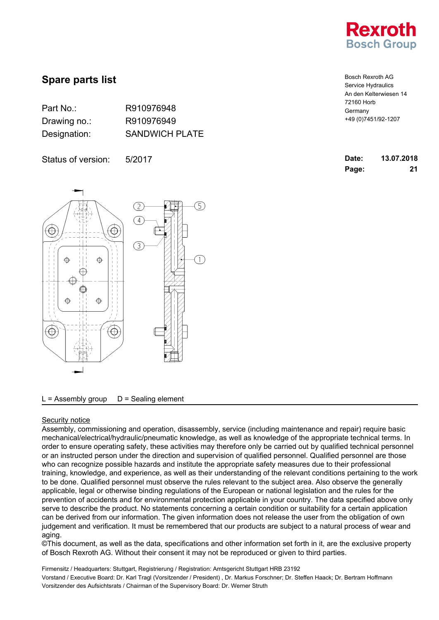

| Part No.:    | R910976948            |
|--------------|-----------------------|
| Drawing no.: | R910976949            |
| Designation: | <b>SANDWICH PLATE</b> |

Status of version: 5/2017



 $L =$  Assembly group  $D =$  Sealing element

### Security notice

Assembly, commissioning and operation, disassembly, service (including maintenance and repair) require basic mechanical/electrical/hydraulic/pneumatic knowledge, as well as knowledge of the appropriate technical terms. In order to ensure operating safety, these activities may therefore only be carried out by qualified technical personnel or an instructed person under the direction and supervision of qualified personnel. Qualified personnel are those who can recognize possible hazards and institute the appropriate safety measures due to their professional training, knowledge, and experience, as well as their understanding of the relevant conditions pertaining to the work to be done. Qualified personnel must observe the rules relevant to the subject area. Also observe the generally applicable, legal or otherwise binding regulations of the European or national legislation and the rules for the prevention of accidents and for environmental protection applicable in your country. The data specified above only serve to describe the product. No statements concerning a certain condition or suitability for a certain application can be derived from our information. The given information does not release the user from the obligation of own judgement and verification. It must be remembered that our products are subject to a natural process of wear and aging.

©This document, as well as the data, specifications and other information set forth in it, are the exclusive property of Bosch Rexroth AG. Without their consent it may not be reproduced or given to third parties.

| <b>Bosch Rexroth AG</b> |
|-------------------------|
| Service Hydraulics      |
| An den Kelterwiesen 14  |
| 72160 Horb              |
| Germany                 |
| +49 (0) 7451/92-1207    |

| Date: | 13.07.2018 |
|-------|------------|
| Page: | 21         |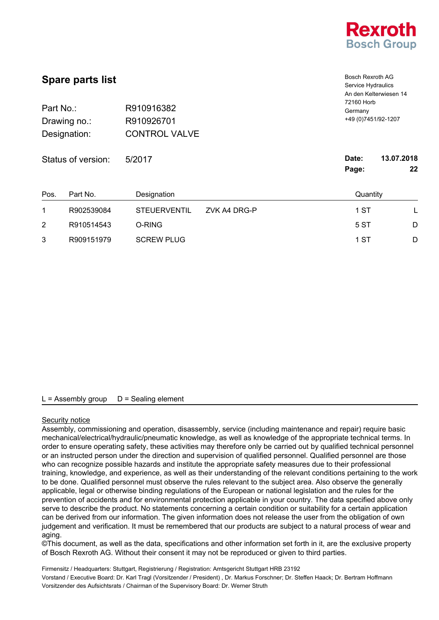

| <b>Spare parts list</b><br>Part No.:<br>R910916382<br>R910926701<br>Drawing no.:<br><b>CONTROL VALVE</b><br>Designation: |            |                     |              | <b>Bosch Rexroth AG</b><br>Service Hydraulics<br>An den Kelterwiesen 14<br>72160 Horb<br>Germany<br>+49 (0) 7451/92-1207 |            |
|--------------------------------------------------------------------------------------------------------------------------|------------|---------------------|--------------|--------------------------------------------------------------------------------------------------------------------------|------------|
| Status of version:                                                                                                       |            | 5/2017              |              | Date:                                                                                                                    | 13.07.2018 |
|                                                                                                                          |            |                     |              | Page:                                                                                                                    | 22         |
| Pos.                                                                                                                     | Part No.   | Designation         |              | Quantity                                                                                                                 |            |
| 1                                                                                                                        | R902539084 | <b>STEUERVENTIL</b> | ZVK A4 DRG-P | 1 ST                                                                                                                     | L          |
| 2                                                                                                                        | R910514543 | O-RING              |              | 5 ST                                                                                                                     | D          |
| 3                                                                                                                        | R909151979 | <b>SCREW PLUG</b>   |              | 1 ST                                                                                                                     | D          |

#### Security notice

Assembly, commissioning and operation, disassembly, service (including maintenance and repair) require basic mechanical/electrical/hydraulic/pneumatic knowledge, as well as knowledge of the appropriate technical terms. In order to ensure operating safety, these activities may therefore only be carried out by qualified technical personnel or an instructed person under the direction and supervision of qualified personnel. Qualified personnel are those who can recognize possible hazards and institute the appropriate safety measures due to their professional training, knowledge, and experience, as well as their understanding of the relevant conditions pertaining to the work to be done. Qualified personnel must observe the rules relevant to the subject area. Also observe the generally applicable, legal or otherwise binding regulations of the European or national legislation and the rules for the prevention of accidents and for environmental protection applicable in your country. The data specified above only serve to describe the product. No statements concerning a certain condition or suitability for a certain application can be derived from our information. The given information does not release the user from the obligation of own judgement and verification. It must be remembered that our products are subject to a natural process of wear and aging.

©This document, as well as the data, specifications and other information set forth in it, are the exclusive property of Bosch Rexroth AG. Without their consent it may not be reproduced or given to third parties.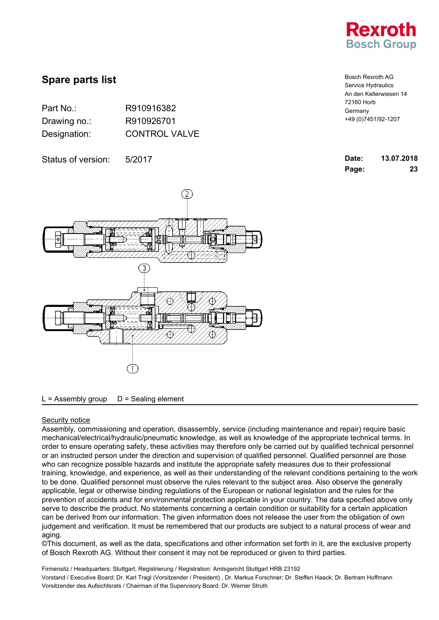

| Part No.:    | R910916382           |
|--------------|----------------------|
| Drawing no.: | R910926701           |
| Designation: | <b>CONTROL VALVE</b> |

Status of version: 5/2017



 $L =$  Assembly group  $D =$  Sealing element

### Security notice

Assembly, commissioning and operation, disassembly, service (including maintenance and repair) require basic mechanical/electrical/hydraulic/pneumatic knowledge, as well as knowledge of the appropriate technical terms. In order to ensure operating safety, these activities may therefore only be carried out by qualified technical personnel or an instructed person under the direction and supervision of qualified personnel. Qualified personnel are those who can recognize possible hazards and institute the appropriate safety measures due to their professional training, knowledge, and experience, as well as their understanding of the relevant conditions pertaining to the work to be done. Qualified personnel must observe the rules relevant to the subject area. Also observe the generally applicable, legal or otherwise binding regulations of the European or national legislation and the rules for the prevention of accidents and for environmental protection applicable in your country. The data specified above only serve to describe the product. No statements concerning a certain condition or suitability for a certain application can be derived from our information. The given information does not release the user from the obligation of own judgement and verification. It must be remembered that our products are subject to a natural process of wear and aging.

©This document, as well as the data, specifications and other information set forth in it, are the exclusive property of Bosch Rexroth AG. Without their consent it may not be reproduced or given to third parties.

Firmensitz / Headquarters: Stuttgart, Registrierung / Registration: Amtsgericht Stuttgart HRB 23192 Vorstand / Executive Board: Dr. Karl Tragl (Vorsitzender / President) , Dr. Markus Forschner; Dr. Steffen Haack; Dr. Bertram Hoffmann Vorsitzender des Aufsichtsrats / Chairman of the Supervisory Board: Dr. Werner Struth

Bosch Rexroth AG Service Hydraulics An den Kelterwiesen 14 72160 Horb Germany +49 (0)7451/92-1207

| Date: | 13.07.2018 |
|-------|------------|
| Page: | 23         |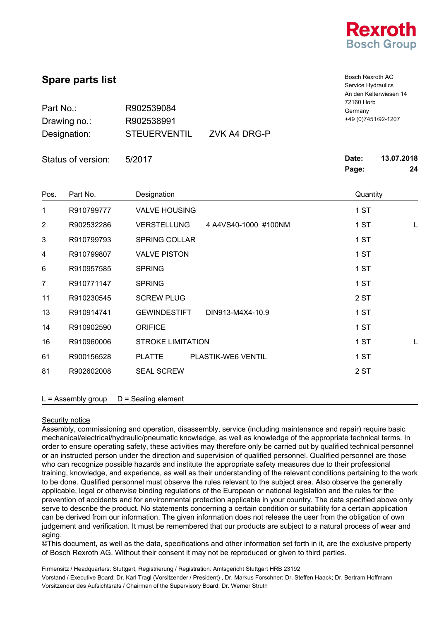

Bosch Rexroth AG

|           | <b>Spare parts list</b> |                                            | Bosch Rexroth AG<br>Service Hydraulics<br>An den Kelterwiesen 14 |            |
|-----------|-------------------------|--------------------------------------------|------------------------------------------------------------------|------------|
| Part No.: |                         | Germany                                    | 72160 Horb                                                       |            |
|           | Drawing no.:            | R902538991                                 | +49 (0) 7451/92-1207                                             |            |
|           | Designation:            | <b>STEUERVENTIL</b><br>ZVK A4 DRG-P        |                                                                  | 13.07.2018 |
|           | Status of version:      | 5/2017                                     | Date:                                                            |            |
|           |                         |                                            | Page:                                                            | 24         |
| Pos.      | Part No.                | Designation                                | Quantity                                                         |            |
| 1         | R910799777              | <b>VALVE HOUSING</b>                       | 1 ST                                                             |            |
| 2         | R902532286              | <b>VERSTELLUNG</b><br>4 A4VS40-1000 #100NM | 1 ST                                                             | L          |
| 3         | R910799793              | <b>SPRING COLLAR</b>                       | 1 ST                                                             |            |
| 4         | R910799807              | <b>VALVE PISTON</b>                        | 1 ST                                                             |            |
| 6         | R910957585              | <b>SPRING</b>                              | 1 ST                                                             |            |
| 7         | R910771147              | <b>SPRING</b>                              | 1 ST                                                             |            |
| 11        | R910230545              | <b>SCREW PLUG</b>                          | 2 ST                                                             |            |
| 13        | R910914741              | <b>GEWINDESTIFT</b><br>DIN913-M4X4-10.9    | 1 ST                                                             |            |
| 14        | R910902590              | <b>ORIFICE</b>                             | 1 ST                                                             |            |
| 16        | R910960006              | <b>STROKE LIMITATION</b>                   | 1 ST                                                             | L          |
| 61        | R900156528              | <b>PLATTE</b><br>PLASTIK-WE6 VENTIL        | 1 ST                                                             |            |
| 81        | R902602008              | <b>SEAL SCREW</b>                          | 2 ST                                                             |            |
|           | $L =$ Assembly group    | $D =$ Sealing element                      |                                                                  |            |

### Security notice

Assembly, commissioning and operation, disassembly, service (including maintenance and repair) require basic mechanical/electrical/hydraulic/pneumatic knowledge, as well as knowledge of the appropriate technical terms. In order to ensure operating safety, these activities may therefore only be carried out by qualified technical personnel or an instructed person under the direction and supervision of qualified personnel. Qualified personnel are those who can recognize possible hazards and institute the appropriate safety measures due to their professional training, knowledge, and experience, as well as their understanding of the relevant conditions pertaining to the work to be done. Qualified personnel must observe the rules relevant to the subject area. Also observe the generally applicable, legal or otherwise binding regulations of the European or national legislation and the rules for the prevention of accidents and for environmental protection applicable in your country. The data specified above only serve to describe the product. No statements concerning a certain condition or suitability for a certain application can be derived from our information. The given information does not release the user from the obligation of own judgement and verification. It must be remembered that our products are subject to a natural process of wear and aging.

©This document, as well as the data, specifications and other information set forth in it, are the exclusive property of Bosch Rexroth AG. Without their consent it may not be reproduced or given to third parties.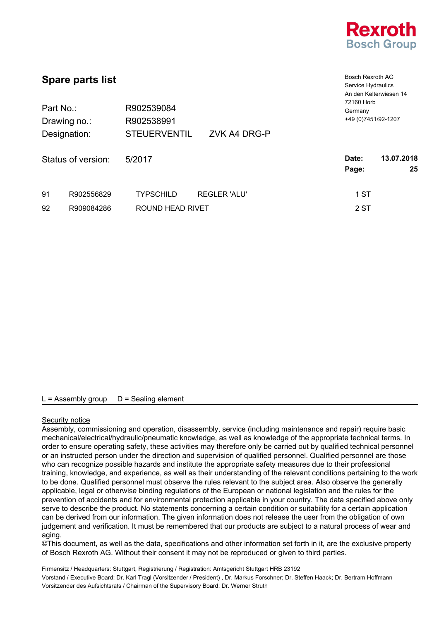

| <b>Spare parts list</b> |                              |                                                                 | <b>Bosch Rexroth AG</b><br>Service Hydraulics<br>An den Kelterwiesen 14 |
|-------------------------|------------------------------|-----------------------------------------------------------------|-------------------------------------------------------------------------|
| Part No.:               | Drawing no.:<br>Designation: | R902539084<br>R902538991<br><b>STEUERVENTIL</b><br>ZVK A4 DRG-P | 72160 Horb<br>Germany<br>+49 (0) 7451/92-1207                           |
|                         | Status of version:           | 5/2017                                                          | 13.07.2018<br>Date:<br>25<br>Page:                                      |
| 91                      | R902556829                   | <b>REGLER 'ALU'</b><br><b>TYPSCHILD</b>                         | 1 ST                                                                    |
| 92                      | R909084286                   | ROUND HEAD RIVET                                                | 2 ST                                                                    |

# Security notice

Assembly, commissioning and operation, disassembly, service (including maintenance and repair) require basic mechanical/electrical/hydraulic/pneumatic knowledge, as well as knowledge of the appropriate technical terms. In order to ensure operating safety, these activities may therefore only be carried out by qualified technical personnel or an instructed person under the direction and supervision of qualified personnel. Qualified personnel are those who can recognize possible hazards and institute the appropriate safety measures due to their professional training, knowledge, and experience, as well as their understanding of the relevant conditions pertaining to the work to be done. Qualified personnel must observe the rules relevant to the subject area. Also observe the generally applicable, legal or otherwise binding regulations of the European or national legislation and the rules for the prevention of accidents and for environmental protection applicable in your country. The data specified above only serve to describe the product. No statements concerning a certain condition or suitability for a certain application can be derived from our information. The given information does not release the user from the obligation of own judgement and verification. It must be remembered that our products are subject to a natural process of wear and aging.

©This document, as well as the data, specifications and other information set forth in it, are the exclusive property of Bosch Rexroth AG. Without their consent it may not be reproduced or given to third parties.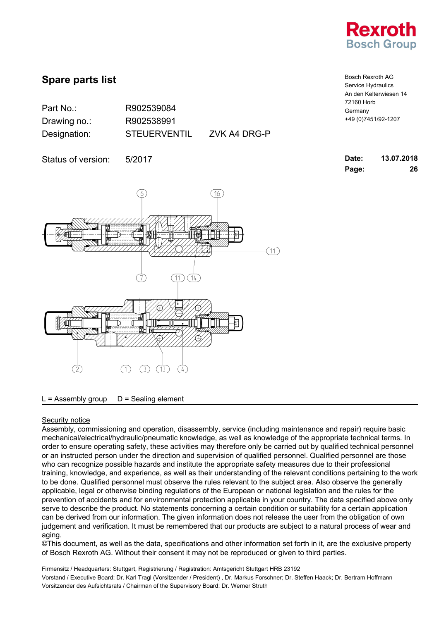

| Part No.:    | R902539084       |
|--------------|------------------|
| Drawing no.: | R902538991       |
| Designation: | <b>STEUERVEN</b> |

UERVENTIL ZVK A4 DRG-P

Status of version: 5/2017

(16) (6)  $\perp$  $11$  $(11)$  $(14)$ 3HD-31  $(13)$  $(4)$ 

### $L =$  Assembly group  $D =$  Sealing element

### Security notice

Assembly, commissioning and operation, disassembly, service (including maintenance and repair) require basic mechanical/electrical/hydraulic/pneumatic knowledge, as well as knowledge of the appropriate technical terms. In order to ensure operating safety, these activities may therefore only be carried out by qualified technical personnel or an instructed person under the direction and supervision of qualified personnel. Qualified personnel are those who can recognize possible hazards and institute the appropriate safety measures due to their professional training, knowledge, and experience, as well as their understanding of the relevant conditions pertaining to the work to be done. Qualified personnel must observe the rules relevant to the subject area. Also observe the generally applicable, legal or otherwise binding regulations of the European or national legislation and the rules for the prevention of accidents and for environmental protection applicable in your country. The data specified above only serve to describe the product. No statements concerning a certain condition or suitability for a certain application can be derived from our information. The given information does not release the user from the obligation of own judgement and verification. It must be remembered that our products are subject to a natural process of wear and aging.

©This document, as well as the data, specifications and other information set forth in it, are the exclusive property of Bosch Rexroth AG. Without their consent it may not be reproduced or given to third parties.

Firmensitz / Headquarters: Stuttgart, Registrierung / Registration: Amtsgericht Stuttgart HRB 23192 Vorstand / Executive Board: Dr. Karl Tragl (Vorsitzender / President) , Dr. Markus Forschner; Dr. Steffen Haack; Dr. Bertram Hoffmann Vorsitzender des Aufsichtsrats / Chairman of the Supervisory Board: Dr. Werner Struth

Bosch Rexroth AG Service Hydraulics An den Kelterwiesen 14 72160 Horb Germany +49 (0)7451/92-1207

| Date: | 13.07.2018 |
|-------|------------|
| Page: | 26         |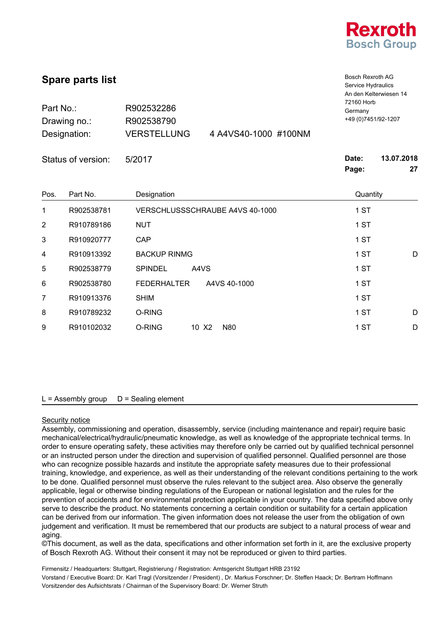

|                | <b>Spare parts list</b> |                                            | <b>Bosch Rexroth AG</b><br>Service Hydraulics<br>An den Kelterwiesen 14 |                  |
|----------------|-------------------------|--------------------------------------------|-------------------------------------------------------------------------|------------------|
| Part No.:      |                         | R902532286                                 | 72160 Horb<br>Germany                                                   |                  |
|                | Drawing no.:            | R902538790                                 | +49 (0) 7451/92-1207                                                    |                  |
|                | Designation:            | <b>VERSTELLUNG</b><br>4 A4VS40-1000 #100NM |                                                                         |                  |
|                | Status of version:      | 5/2017                                     | Date:<br>Page:                                                          | 13.07.2018<br>27 |
| Pos.           | Part No.                | Designation                                | Quantity                                                                |                  |
| 1              | R902538781              | VERSCHLUSSSCHRAUBE A4VS 40-1000            | 1 ST                                                                    |                  |
| $\overline{2}$ | R910789186              | <b>NUT</b>                                 | 1 ST                                                                    |                  |
| 3              | R910920777              | CAP                                        | 1 ST                                                                    |                  |
| 4              | R910913392              | <b>BACKUP RINMG</b>                        | 1 ST                                                                    | D                |
| 5              | R902538779              | <b>SPINDEL</b><br>A4VS                     | 1 ST                                                                    |                  |
| 6              | R902538780              | <b>FEDERHALTER</b><br>A4VS 40-1000         | 1 ST                                                                    |                  |
| 7              | R910913376              | <b>SHIM</b>                                | 1 ST                                                                    |                  |
| 8              | R910789232              | O-RING                                     | 1 ST                                                                    | D                |
| 9              | R910102032              | O-RING<br>10 X2<br><b>N80</b>              | 1 ST                                                                    | D                |

#### Security notice

Assembly, commissioning and operation, disassembly, service (including maintenance and repair) require basic mechanical/electrical/hydraulic/pneumatic knowledge, as well as knowledge of the appropriate technical terms. In order to ensure operating safety, these activities may therefore only be carried out by qualified technical personnel or an instructed person under the direction and supervision of qualified personnel. Qualified personnel are those who can recognize possible hazards and institute the appropriate safety measures due to their professional training, knowledge, and experience, as well as their understanding of the relevant conditions pertaining to the work to be done. Qualified personnel must observe the rules relevant to the subject area. Also observe the generally applicable, legal or otherwise binding regulations of the European or national legislation and the rules for the prevention of accidents and for environmental protection applicable in your country. The data specified above only serve to describe the product. No statements concerning a certain condition or suitability for a certain application can be derived from our information. The given information does not release the user from the obligation of own judgement and verification. It must be remembered that our products are subject to a natural process of wear and aging.

©This document, as well as the data, specifications and other information set forth in it, are the exclusive property of Bosch Rexroth AG. Without their consent it may not be reproduced or given to third parties.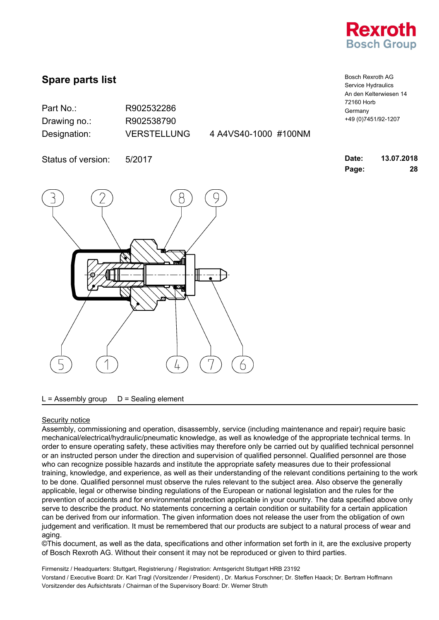

Bosch Rexroth AG Service Hydraulics An den Kelterwiesen 14

+49 (0)7451/92-1207

72160 Horb Germany

# **Spare parts list**

| Part No.:    | R902532286         |
|--------------|--------------------|
| Drawing no.: | R902538790         |
| Designation: | <b>VERSTELLUNG</b> |

4 A4VS40-1000 #100NM

Status of version: 5/2017 **Date: 13.07.2018**



**Page: 28**

#### $L =$  Assembly group  $D =$  Sealing element

#### Security notice

Assembly, commissioning and operation, disassembly, service (including maintenance and repair) require basic mechanical/electrical/hydraulic/pneumatic knowledge, as well as knowledge of the appropriate technical terms. In order to ensure operating safety, these activities may therefore only be carried out by qualified technical personnel or an instructed person under the direction and supervision of qualified personnel. Qualified personnel are those who can recognize possible hazards and institute the appropriate safety measures due to their professional training, knowledge, and experience, as well as their understanding of the relevant conditions pertaining to the work to be done. Qualified personnel must observe the rules relevant to the subject area. Also observe the generally applicable, legal or otherwise binding regulations of the European or national legislation and the rules for the prevention of accidents and for environmental protection applicable in your country. The data specified above only serve to describe the product. No statements concerning a certain condition or suitability for a certain application can be derived from our information. The given information does not release the user from the obligation of own judgement and verification. It must be remembered that our products are subject to a natural process of wear and aging.

©This document, as well as the data, specifications and other information set forth in it, are the exclusive property of Bosch Rexroth AG. Without their consent it may not be reproduced or given to third parties.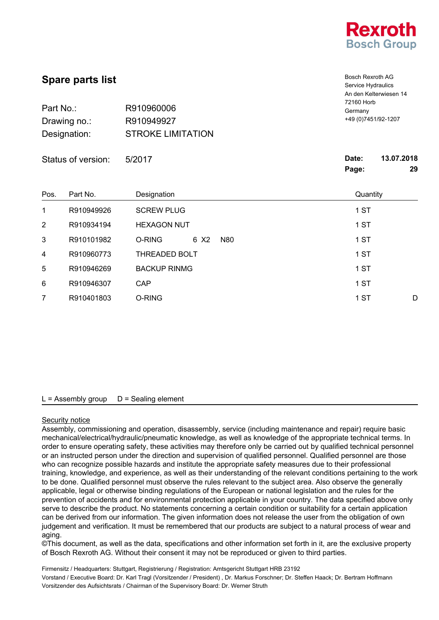

Bosch Rexroth AG Service Hydraulics

| Part No.:<br>Drawing no.:<br>Designation: |                    | R910960006<br>R910949927<br><b>STROKE LIMITATION</b> |             | Germany        | An den Kelterwiesen 14<br>72160 Horb<br>+49 (0) 7451/92-1207 |  |
|-------------------------------------------|--------------------|------------------------------------------------------|-------------|----------------|--------------------------------------------------------------|--|
|                                           | Status of version: | 5/2017                                               |             | Date:<br>Page: | 13.07.2018<br>29                                             |  |
| Pos.                                      | Part No.           | Designation                                          |             | Quantity       |                                                              |  |
| 1                                         | R910949926         | <b>SCREW PLUG</b>                                    |             | 1 ST           |                                                              |  |
| $\overline{2}$                            | R910934194         | <b>HEXAGON NUT</b>                                   |             | 1 ST           |                                                              |  |
| 3                                         | R910101982         | O-RING                                               | 6 X2<br>N80 | 1 ST           |                                                              |  |
| 4                                         | R910960773         | <b>THREADED BOLT</b>                                 |             | 1 ST           |                                                              |  |
| 5                                         | R910946269         | <b>BACKUP RINMG</b>                                  |             | 1 ST           |                                                              |  |
| 6                                         | R910946307         | <b>CAP</b>                                           |             | 1 ST           |                                                              |  |
| 7                                         | R910401803         | O-RING                                               |             | 1 ST           | D                                                            |  |
|                                           |                    |                                                      |             |                |                                                              |  |

### $L =$  Assembly group  $D =$  Sealing element

#### Security notice

Assembly, commissioning and operation, disassembly, service (including maintenance and repair) require basic mechanical/electrical/hydraulic/pneumatic knowledge, as well as knowledge of the appropriate technical terms. In order to ensure operating safety, these activities may therefore only be carried out by qualified technical personnel or an instructed person under the direction and supervision of qualified personnel. Qualified personnel are those who can recognize possible hazards and institute the appropriate safety measures due to their professional training, knowledge, and experience, as well as their understanding of the relevant conditions pertaining to the work to be done. Qualified personnel must observe the rules relevant to the subject area. Also observe the generally applicable, legal or otherwise binding regulations of the European or national legislation and the rules for the prevention of accidents and for environmental protection applicable in your country. The data specified above only serve to describe the product. No statements concerning a certain condition or suitability for a certain application can be derived from our information. The given information does not release the user from the obligation of own judgement and verification. It must be remembered that our products are subject to a natural process of wear and aging.

©This document, as well as the data, specifications and other information set forth in it, are the exclusive property of Bosch Rexroth AG. Without their consent it may not be reproduced or given to third parties.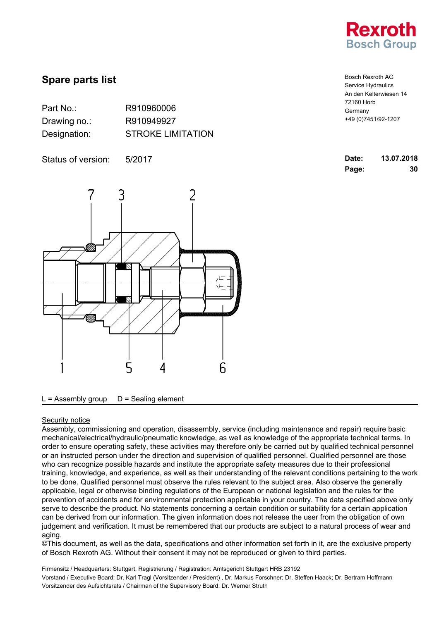

| Part No.:    | R910960006               |
|--------------|--------------------------|
| Drawing no.: | R910949927               |
| Designation: | <b>STROKE LIMITATION</b> |

Status of version: 5/2017



Bosch Rexroth AG Service Hydraulics An den Kelterwiesen 14 72160 Horb Germany +49 (0)7451/92-1207

| Date: | 13.07.2018 |
|-------|------------|
| Page: | 30         |

 $L =$  Assembly group  $D =$  Sealing element

#### Security notice

Assembly, commissioning and operation, disassembly, service (including maintenance and repair) require basic mechanical/electrical/hydraulic/pneumatic knowledge, as well as knowledge of the appropriate technical terms. In order to ensure operating safety, these activities may therefore only be carried out by qualified technical personnel or an instructed person under the direction and supervision of qualified personnel. Qualified personnel are those who can recognize possible hazards and institute the appropriate safety measures due to their professional training, knowledge, and experience, as well as their understanding of the relevant conditions pertaining to the work to be done. Qualified personnel must observe the rules relevant to the subject area. Also observe the generally applicable, legal or otherwise binding regulations of the European or national legislation and the rules for the prevention of accidents and for environmental protection applicable in your country. The data specified above only serve to describe the product. No statements concerning a certain condition or suitability for a certain application can be derived from our information. The given information does not release the user from the obligation of own judgement and verification. It must be remembered that our products are subject to a natural process of wear and aging.

©This document, as well as the data, specifications and other information set forth in it, are the exclusive property of Bosch Rexroth AG. Without their consent it may not be reproduced or given to third parties.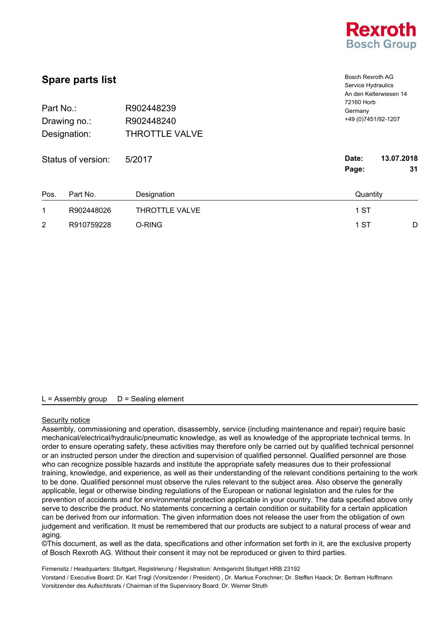

| <b>Spare parts list</b><br>R902448239<br>Part No.:<br>R902448240<br>Drawing no.: |                    |                       | <b>Bosch Rexroth AG</b><br>Service Hydraulics<br>An den Kelterwiesen 14<br>72160 Horb<br>Germany |    |
|----------------------------------------------------------------------------------|--------------------|-----------------------|--------------------------------------------------------------------------------------------------|----|
|                                                                                  |                    |                       | +49 (0) 7451/92-1207                                                                             |    |
|                                                                                  | Designation:       | <b>THROTTLE VALVE</b> |                                                                                                  |    |
|                                                                                  | Status of version: | 5/2017                | 13.07.2018<br>Date:<br>Page:                                                                     | 31 |
| Pos.                                                                             | Part No.           | Designation           | Quantity                                                                                         |    |
| 1                                                                                | R902448026         | <b>THROTTLE VALVE</b> | 1 ST                                                                                             |    |
| $\overline{2}$                                                                   | R910759228         | O-RING                | 1 ST                                                                                             | D  |

#### Security notice

Assembly, commissioning and operation, disassembly, service (including maintenance and repair) require basic mechanical/electrical/hydraulic/pneumatic knowledge, as well as knowledge of the appropriate technical terms. In order to ensure operating safety, these activities may therefore only be carried out by qualified technical personnel or an instructed person under the direction and supervision of qualified personnel. Qualified personnel are those who can recognize possible hazards and institute the appropriate safety measures due to their professional training, knowledge, and experience, as well as their understanding of the relevant conditions pertaining to the work to be done. Qualified personnel must observe the rules relevant to the subject area. Also observe the generally applicable, legal or otherwise binding regulations of the European or national legislation and the rules for the prevention of accidents and for environmental protection applicable in your country. The data specified above only serve to describe the product. No statements concerning a certain condition or suitability for a certain application can be derived from our information. The given information does not release the user from the obligation of own judgement and verification. It must be remembered that our products are subject to a natural process of wear and aging.

©This document, as well as the data, specifications and other information set forth in it, are the exclusive property of Bosch Rexroth AG. Without their consent it may not be reproduced or given to third parties.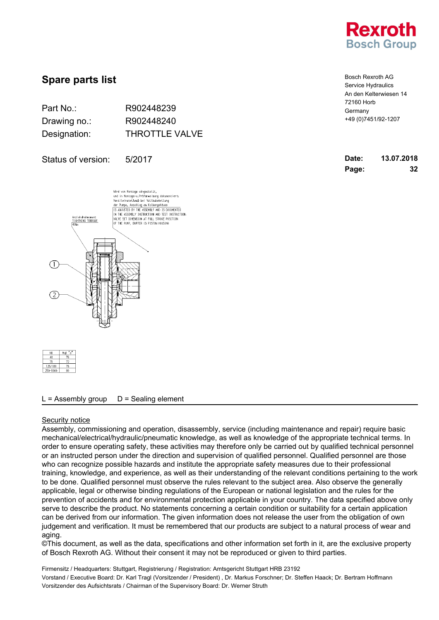

| Part No.:    | R902448239            |
|--------------|-----------------------|
| Drawing no.: | R902448240            |
| Designation: | <b>THROTTLE VALVE</b> |

Status of version: 5/2017

Wird von Montage eingestellt,<br>und in Montage-u.Prüfanweisung dokumentiert:<br>Ventileinstellung bei Vollmubstellung<br>der Pumpe, Anschlag am Kolbergehäuse<br>[IS ABJUSTED BY THE ASSEMBLY AND IS DOCUMENTED IN THE ASSEMBLY INSTRUCTION AND TEST INSTRUCTION. THE RUGINIC TRAINGCTON AND TEST TRONG<br>VE SET DIMENSION AT FULL STROKE POSITION.<br>THE PUNP, BUFFER IS PISTON HOUSING ıziehdrehmoment<br>|GHTNING TOURQUE  $(1)$ 

| NG       | ۰.<br>Maß |
|----------|-----------|
| 40       | 76        |
| 71       |           |
| 125/180  | 76        |
| 250-1000 | ĤÔ        |

### $L =$  Assembly group  $D =$  Sealing element

#### Security notice

Assembly, commissioning and operation, disassembly, service (including maintenance and repair) require basic mechanical/electrical/hydraulic/pneumatic knowledge, as well as knowledge of the appropriate technical terms. In order to ensure operating safety, these activities may therefore only be carried out by qualified technical personnel or an instructed person under the direction and supervision of qualified personnel. Qualified personnel are those who can recognize possible hazards and institute the appropriate safety measures due to their professional training, knowledge, and experience, as well as their understanding of the relevant conditions pertaining to the work to be done. Qualified personnel must observe the rules relevant to the subject area. Also observe the generally applicable, legal or otherwise binding regulations of the European or national legislation and the rules for the prevention of accidents and for environmental protection applicable in your country. The data specified above only serve to describe the product. No statements concerning a certain condition or suitability for a certain application can be derived from our information. The given information does not release the user from the obligation of own judgement and verification. It must be remembered that our products are subject to a natural process of wear and aging.

©This document, as well as the data, specifications and other information set forth in it, are the exclusive property of Bosch Rexroth AG. Without their consent it may not be reproduced or given to third parties.

| <b>Bosch Rexroth AG</b> |
|-------------------------|
| Service Hydraulics      |
| An den Kelterwiesen 14  |
| 72160 Horb              |
| Germany                 |
| +49 (0) 7451/92-1207    |

| Date: | 13.07.2018 |
|-------|------------|
| Page: | 32         |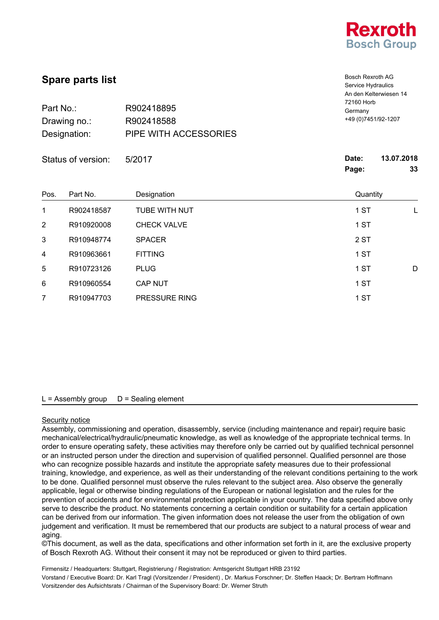

Bosch Rexroth AG

| <b>Spare parts list</b> |  |
|-------------------------|--|
|-------------------------|--|

| <b>OPAIG PAILS IISL</b> |                       | Service Hydraulics     |  |
|-------------------------|-----------------------|------------------------|--|
|                         |                       | An den Kelterwiesen 14 |  |
|                         |                       | 72160 Horb             |  |
| Part No.:               | R902418895            | Germany                |  |
| Drawing no.:            | R902418588            | +49 (0) 7451/92-1207   |  |
| Designation:            | PIPE WITH ACCESSORIES |                        |  |
|                         |                       |                        |  |
|                         |                       |                        |  |

|                | Status of version: | 5/2017               | Date:<br>13.07.2018<br>33<br>Page: |
|----------------|--------------------|----------------------|------------------------------------|
| Pos.           | Part No.           | Designation          | Quantity                           |
| 1              | R902418587         | <b>TUBE WITH NUT</b> | 1 ST<br>L                          |
| $\overline{2}$ | R910920008         | <b>CHECK VALVE</b>   | 1 ST                               |
| 3              | R910948774         | <b>SPACER</b>        | 2 ST                               |
| 4              | R910963661         | <b>FITTING</b>       | 1 ST                               |
| 5              | R910723126         | <b>PLUG</b>          | 1 ST<br>D                          |
| 6              | R910960554         | <b>CAP NUT</b>       | 1 ST                               |
| 7              | R910947703         | PRESSURE RING        | 1 ST                               |

# $L =$  Assembly group  $D =$  Sealing element

# Security notice

Assembly, commissioning and operation, disassembly, service (including maintenance and repair) require basic mechanical/electrical/hydraulic/pneumatic knowledge, as well as knowledge of the appropriate technical terms. In order to ensure operating safety, these activities may therefore only be carried out by qualified technical personnel or an instructed person under the direction and supervision of qualified personnel. Qualified personnel are those who can recognize possible hazards and institute the appropriate safety measures due to their professional training, knowledge, and experience, as well as their understanding of the relevant conditions pertaining to the work to be done. Qualified personnel must observe the rules relevant to the subject area. Also observe the generally applicable, legal or otherwise binding regulations of the European or national legislation and the rules for the prevention of accidents and for environmental protection applicable in your country. The data specified above only serve to describe the product. No statements concerning a certain condition or suitability for a certain application can be derived from our information. The given information does not release the user from the obligation of own judgement and verification. It must be remembered that our products are subject to a natural process of wear and aging.

©This document, as well as the data, specifications and other information set forth in it, are the exclusive property of Bosch Rexroth AG. Without their consent it may not be reproduced or given to third parties.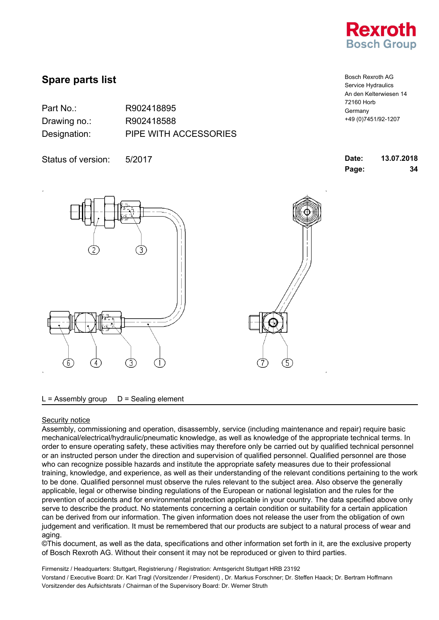

| Part No.:    | R902418895            |
|--------------|-----------------------|
| Drawing no.: | R902418588            |
| Designation: | PIPE WITH ACCESSORIES |

Status of version: 5/2017

72160 Horb Germany +49 (0)7451/92-1207

Bosch Rexroth AG Service Hydraulics An den Kelterwiesen 14

| Date: | 13.07.2018 |
|-------|------------|
| Page: | 34         |



 $L =$  Assembly group  $D =$  Sealing element

### Security notice

Assembly, commissioning and operation, disassembly, service (including maintenance and repair) require basic mechanical/electrical/hydraulic/pneumatic knowledge, as well as knowledge of the appropriate technical terms. In order to ensure operating safety, these activities may therefore only be carried out by qualified technical personnel or an instructed person under the direction and supervision of qualified personnel. Qualified personnel are those who can recognize possible hazards and institute the appropriate safety measures due to their professional training, knowledge, and experience, as well as their understanding of the relevant conditions pertaining to the work to be done. Qualified personnel must observe the rules relevant to the subject area. Also observe the generally applicable, legal or otherwise binding regulations of the European or national legislation and the rules for the prevention of accidents and for environmental protection applicable in your country. The data specified above only serve to describe the product. No statements concerning a certain condition or suitability for a certain application can be derived from our information. The given information does not release the user from the obligation of own judgement and verification. It must be remembered that our products are subject to a natural process of wear and aging.

©This document, as well as the data, specifications and other information set forth in it, are the exclusive property of Bosch Rexroth AG. Without their consent it may not be reproduced or given to third parties.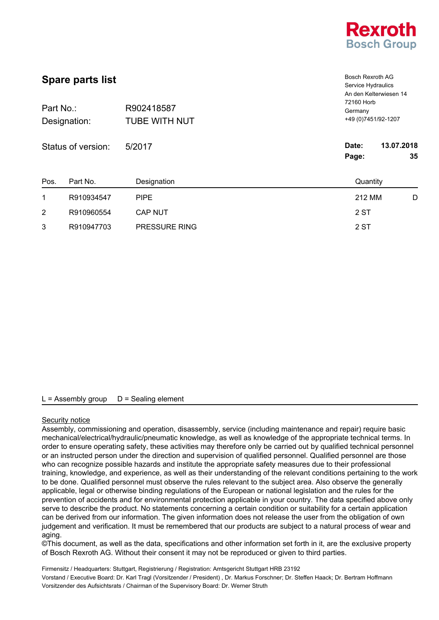

| <b>Spare parts list</b><br>Part No.:<br>R902418587<br><b>TUBE WITH NUT</b><br>Designation:<br>Status of version: |            |                | <b>Bosch Rexroth AG</b><br>Service Hydraulics<br>An den Kelterwiesen 14<br>72160 Horb<br>Germany<br>+49 (0) 7451/92-1207 |  |
|------------------------------------------------------------------------------------------------------------------|------------|----------------|--------------------------------------------------------------------------------------------------------------------------|--|
|                                                                                                                  |            | 5/2017         |                                                                                                                          |  |
|                                                                                                                  |            |                | 13.07.2018<br>Date:                                                                                                      |  |
|                                                                                                                  |            |                | Page:<br>35                                                                                                              |  |
| Pos.                                                                                                             | Part No.   | Designation    | Quantity                                                                                                                 |  |
| 1                                                                                                                | R910934547 | <b>PIPE</b>    | 212 MM<br>D                                                                                                              |  |
| 2                                                                                                                | R910960554 | <b>CAP NUT</b> | 2 ST                                                                                                                     |  |
| 3                                                                                                                | R910947703 | PRESSURE RING  | 2 ST                                                                                                                     |  |

### Security notice

Assembly, commissioning and operation, disassembly, service (including maintenance and repair) require basic mechanical/electrical/hydraulic/pneumatic knowledge, as well as knowledge of the appropriate technical terms. In order to ensure operating safety, these activities may therefore only be carried out by qualified technical personnel or an instructed person under the direction and supervision of qualified personnel. Qualified personnel are those who can recognize possible hazards and institute the appropriate safety measures due to their professional training, knowledge, and experience, as well as their understanding of the relevant conditions pertaining to the work to be done. Qualified personnel must observe the rules relevant to the subject area. Also observe the generally applicable, legal or otherwise binding regulations of the European or national legislation and the rules for the prevention of accidents and for environmental protection applicable in your country. The data specified above only serve to describe the product. No statements concerning a certain condition or suitability for a certain application can be derived from our information. The given information does not release the user from the obligation of own judgement and verification. It must be remembered that our products are subject to a natural process of wear and aging.

©This document, as well as the data, specifications and other information set forth in it, are the exclusive property of Bosch Rexroth AG. Without their consent it may not be reproduced or given to third parties.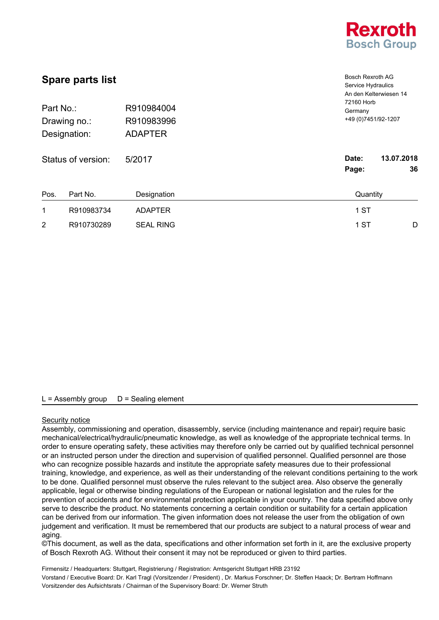

| <b>Spare parts list</b><br>R910984004<br>Part No.:<br>R910983996<br>Drawing no.:<br><b>ADAPTER</b><br>Designation: |            |                  | <b>Bosch Rexroth AG</b><br>Service Hydraulics<br>An den Kelterwiesen 14<br>72160 Horb<br>Germany<br>+49 (0) 7451/92-1207 |
|--------------------------------------------------------------------------------------------------------------------|------------|------------------|--------------------------------------------------------------------------------------------------------------------------|
| Status of version:                                                                                                 |            | 5/2017           | 13.07.2018<br>Date:<br>Page:<br>36                                                                                       |
| Pos.                                                                                                               | Part No.   | Designation      | Quantity                                                                                                                 |
| 1                                                                                                                  | R910983734 | <b>ADAPTER</b>   | 1 ST                                                                                                                     |
| 2                                                                                                                  | R910730289 | <b>SEAL RING</b> | 1 ST<br>D                                                                                                                |

#### Security notice

Assembly, commissioning and operation, disassembly, service (including maintenance and repair) require basic mechanical/electrical/hydraulic/pneumatic knowledge, as well as knowledge of the appropriate technical terms. In order to ensure operating safety, these activities may therefore only be carried out by qualified technical personnel or an instructed person under the direction and supervision of qualified personnel. Qualified personnel are those who can recognize possible hazards and institute the appropriate safety measures due to their professional training, knowledge, and experience, as well as their understanding of the relevant conditions pertaining to the work to be done. Qualified personnel must observe the rules relevant to the subject area. Also observe the generally applicable, legal or otherwise binding regulations of the European or national legislation and the rules for the prevention of accidents and for environmental protection applicable in your country. The data specified above only serve to describe the product. No statements concerning a certain condition or suitability for a certain application can be derived from our information. The given information does not release the user from the obligation of own judgement and verification. It must be remembered that our products are subject to a natural process of wear and aging.

©This document, as well as the data, specifications and other information set forth in it, are the exclusive property of Bosch Rexroth AG. Without their consent it may not be reproduced or given to third parties.